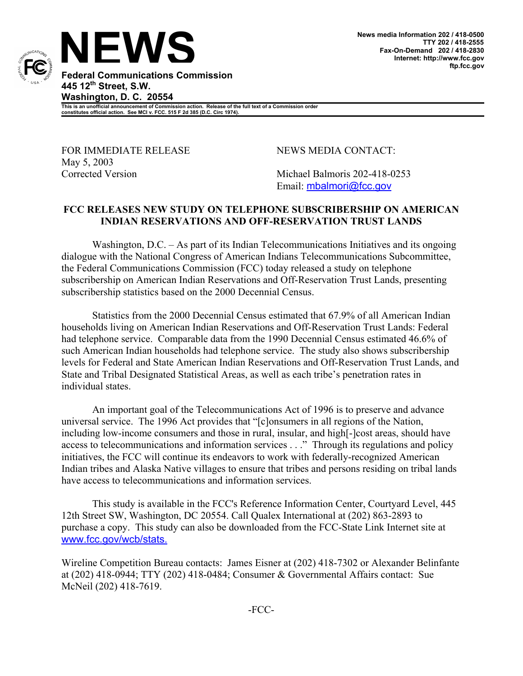

**Federal Communications Commission 445 12th Street, S.W. Washington, D. C. 20554** 

**This is an unofficial announcement of Commission action. Release of the full text of a Commission order constitutes official action. See MCI v. FCC. 515 F 2d 385 (D.C. Circ 1974).** 

FOR IMMEDIATE RELEASE NEWS MEDIA CONTACT: May 5, 2003

Corrected Version Michael Balmoris 202-418-0253 Email: mbalmori@fcc.gov

## **FCC RELEASES NEW STUDY ON TELEPHONE SUBSCRIBERSHIP ON AMERICAN INDIAN RESERVATIONS AND OFF-RESERVATION TRUST LANDS**

Washington, D.C. – As part of its Indian Telecommunications Initiatives and its ongoing dialogue with the National Congress of American Indians Telecommunications Subcommittee, the Federal Communications Commission (FCC) today released a study on telephone subscribership on American Indian Reservations and Off-Reservation Trust Lands, presenting subscribership statistics based on the 2000 Decennial Census.

Statistics from the 2000 Decennial Census estimated that 67.9% of all American Indian households living on American Indian Reservations and Off-Reservation Trust Lands: Federal had telephone service. Comparable data from the 1990 Decennial Census estimated 46.6% of such American Indian households had telephone service. The study also shows subscribership levels for Federal and State American Indian Reservations and Off-Reservation Trust Lands, and State and Tribal Designated Statistical Areas, as well as each tribe's penetration rates in individual states.

An important goal of the Telecommunications Act of 1996 is to preserve and advance universal service. The 1996 Act provides that "[c]onsumers in all regions of the Nation, including low-income consumers and those in rural, insular, and high[-]cost areas, should have access to telecommunications and information services . . ." Through its regulations and policy initiatives, the FCC will continue its endeavors to work with federally-recognized American Indian tribes and Alaska Native villages to ensure that tribes and persons residing on tribal lands have access to telecommunications and information services.

This study is available in the FCC's Reference Information Center, Courtyard Level, 445 12th Street SW, Washington, DC 20554. Call Qualex International at (202) 863-2893 to purchase a copy. This study can also be downloaded from the FCC-State Link Internet site at www.fcc.gov/wcb/stats.

Wireline Competition Bureau contacts: James Eisner at (202) 418-7302 or Alexander Belinfante at (202) 418-0944; TTY (202) 418-0484; Consumer & Governmental Affairs contact: Sue McNeil (202) 418-7619.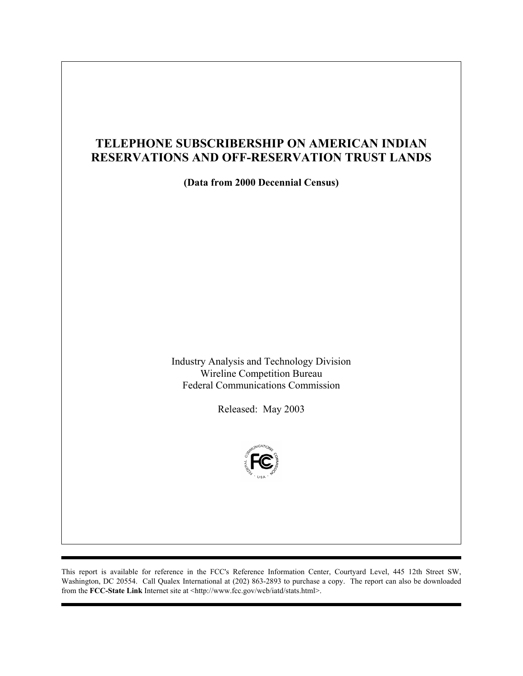# **TELEPHONE SUBSCRIBERSHIP ON AMERICAN INDIAN RESERVATIONS AND OFF-RESERVATION TRUST LANDS**

**(Data from 2000 Decennial Census)** 

Industry Analysis and Technology Division Wireline Competition Bureau Federal Communications Commission

Released: May 2003



This report is available for reference in the FCC's Reference Information Center, Courtyard Level, 445 12th Street SW, Washington, DC 20554. Call Qualex International at (202) 863-2893 to purchase a copy. The report can also be downloaded from the **FCC-State Link** Internet site at <http://www.fcc.gov/wcb/iatd/stats.html>.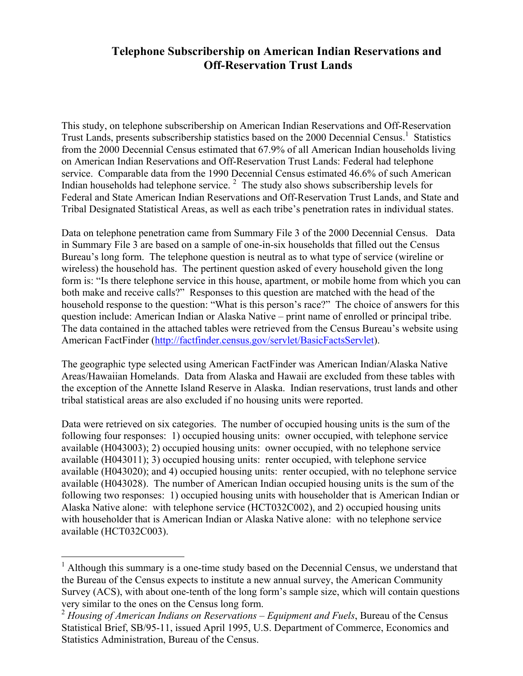## **Telephone Subscribership on American Indian Reservations and Off-Reservation Trust Lands**

This study, on telephone subscribership on American Indian Reservations and Off-Reservation Trust Lands, presents subscribership statistics based on the 2000 Decennial Census.<sup>1</sup> Statistics from the 2000 Decennial Census estimated that 67.9% of all American Indian households living on American Indian Reservations and Off-Reservation Trust Lands: Federal had telephone service. Comparable data from the 1990 Decennial Census estimated 46.6% of such American Indian households had telephone service.<sup>2</sup> The study also shows subscribership levels for Federal and State American Indian Reservations and Off-Reservation Trust Lands, and State and Tribal Designated Statistical Areas, as well as each tribe's penetration rates in individual states.

Data on telephone penetration came from Summary File 3 of the 2000 Decennial Census. Data in Summary File 3 are based on a sample of one-in-six households that filled out the Census Bureau's long form. The telephone question is neutral as to what type of service (wireline or wireless) the household has. The pertinent question asked of every household given the long form is: "Is there telephone service in this house, apartment, or mobile home from which you can both make and receive calls?" Responses to this question are matched with the head of the household response to the question: "What is this person's race?" The choice of answers for this question include: American Indian or Alaska Native – print name of enrolled or principal tribe. The data contained in the attached tables were retrieved from the Census Bureau's website using American FactFinder (http://factfinder.census.gov/servlet/BasicFactsServlet).

The geographic type selected using American FactFinder was American Indian/Alaska Native Areas/Hawaiian Homelands. Data from Alaska and Hawaii are excluded from these tables with the exception of the Annette Island Reserve in Alaska. Indian reservations, trust lands and other tribal statistical areas are also excluded if no housing units were reported.

Data were retrieved on six categories. The number of occupied housing units is the sum of the following four responses: 1) occupied housing units: owner occupied, with telephone service available (H043003); 2) occupied housing units: owner occupied, with no telephone service available (H043011); 3) occupied housing units: renter occupied, with telephone service available (H043020); and 4) occupied housing units: renter occupied, with no telephone service available (H043028). The number of American Indian occupied housing units is the sum of the following two responses: 1) occupied housing units with householder that is American Indian or Alaska Native alone: with telephone service (HCT032C002), and 2) occupied housing units with householder that is American Indian or Alaska Native alone: with no telephone service available (HCT032C003).

1

<sup>&</sup>lt;sup>1</sup> Although this summary is a one-time study based on the Decennial Census, we understand that the Bureau of the Census expects to institute a new annual survey, the American Community Survey (ACS), with about one-tenth of the long form's sample size, which will contain questions very similar to the ones on the Census long form.

<sup>&</sup>lt;sup>2</sup> Housing of American Indians on Reservations – Equipment and Fuels, Bureau of the Census Statistical Brief, SB/95-11, issued April 1995, U.S. Department of Commerce, Economics and Statistics Administration, Bureau of the Census.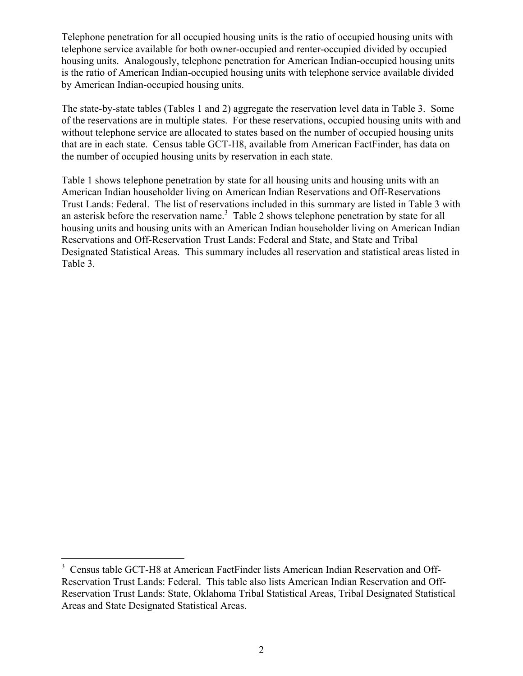Telephone penetration for all occupied housing units is the ratio of occupied housing units with telephone service available for both owner-occupied and renter-occupied divided by occupied housing units. Analogously, telephone penetration for American Indian-occupied housing units is the ratio of American Indian-occupied housing units with telephone service available divided by American Indian-occupied housing units.

The state-by-state tables (Tables 1 and 2) aggregate the reservation level data in Table 3. Some of the reservations are in multiple states. For these reservations, occupied housing units with and without telephone service are allocated to states based on the number of occupied housing units that are in each state. Census table GCT-H8, available from American FactFinder, has data on the number of occupied housing units by reservation in each state.

Table 1 shows telephone penetration by state for all housing units and housing units with an American Indian householder living on American Indian Reservations and Off-Reservations Trust Lands: Federal. The list of reservations included in this summary are listed in Table 3 with an asterisk before the reservation name.<sup>3</sup> Table 2 shows telephone penetration by state for all housing units and housing units with an American Indian householder living on American Indian Reservations and Off-Reservation Trust Lands: Federal and State, and State and Tribal Designated Statistical Areas. This summary includes all reservation and statistical areas listed in Table 3.

1

<sup>&</sup>lt;sup>3</sup> Census table GCT-H8 at American FactFinder lists American Indian Reservation and Off-Reservation Trust Lands: Federal. This table also lists American Indian Reservation and Off-Reservation Trust Lands: State, Oklahoma Tribal Statistical Areas, Tribal Designated Statistical Areas and State Designated Statistical Areas.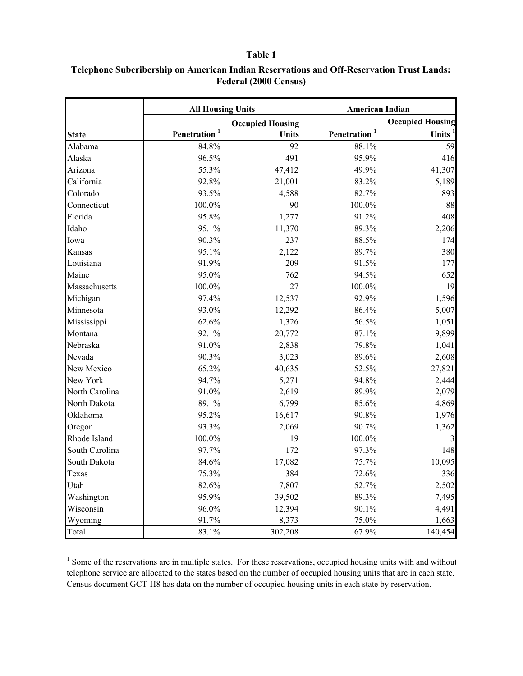|                | <b>All Housing Units</b> |                         | <b>American Indian</b>   |                         |  |
|----------------|--------------------------|-------------------------|--------------------------|-------------------------|--|
|                |                          | <b>Occupied Housing</b> |                          | <b>Occupied Housing</b> |  |
| <b>State</b>   | Penetration <sup>1</sup> | <b>Units</b>            | Penetration <sup>1</sup> | <b>Units</b>            |  |
| Alabama        | 84.8%                    | 92                      | 88.1%                    | 59                      |  |
| Alaska         | 96.5%                    | 491                     | 95.9%                    | 416                     |  |
| Arizona        | 55.3%                    | 47,412                  | 49.9%                    | 41,307                  |  |
| California     | 92.8%                    | 21,001                  | 83.2%                    | 5,189                   |  |
| Colorado       | 93.5%                    | 4,588                   | 82.7%                    | 893                     |  |
| Connecticut    | 100.0%                   | 90                      | 100.0%                   | 88                      |  |
| Florida        | 95.8%                    | 1,277                   | 91.2%                    | 408                     |  |
| Idaho          | 95.1%                    | 11,370                  | 89.3%                    | 2,206                   |  |
| Iowa           | 90.3%                    | 237                     | 88.5%                    | 174                     |  |
| Kansas         | 95.1%                    | 2,122                   | 89.7%                    | 380                     |  |
| Louisiana      | 91.9%                    | 209                     | 91.5%                    | 177                     |  |
| Maine          | 95.0%                    | 762                     | 94.5%                    | 652                     |  |
| Massachusetts  | 100.0%                   | 27                      | 100.0%                   | 19                      |  |
| Michigan       | 97.4%                    | 12,537                  | 92.9%                    | 1,596                   |  |
| Minnesota      | 93.0%                    | 12,292                  | 86.4%                    | 5,007                   |  |
| Mississippi    | 62.6%                    | 1,326                   | 56.5%                    | 1,051                   |  |
| Montana        | 92.1%                    | 20,772                  | 87.1%                    | 9,899                   |  |
| Nebraska       | 91.0%                    | 2,838                   | 79.8%                    | 1,041                   |  |
| Nevada         | 90.3%                    | 3,023                   | 89.6%                    | 2,608                   |  |
| New Mexico     | 65.2%                    | 40,635                  | 52.5%                    | 27,821                  |  |
| New York       | 94.7%                    | 5,271                   | 94.8%                    | 2,444                   |  |
| North Carolina | 91.0%                    | 2,619                   | 89.9%                    | 2,079                   |  |
| North Dakota   | 89.1%                    | 6,799                   | 85.6%                    | 4,869                   |  |
| Oklahoma       | 95.2%                    | 16,617                  | 90.8%                    | 1,976                   |  |
| Oregon         | 93.3%                    | 2,069                   | 90.7%                    | 1,362                   |  |
| Rhode Island   | 100.0%                   | 19                      | 100.0%                   | 3                       |  |
| South Carolina | 97.7%                    | 172                     | 97.3%                    | 148                     |  |
| South Dakota   | 84.6%                    | 17,082                  | 75.7%                    | 10,095                  |  |
| Texas          | 75.3%                    | 384                     | 72.6%                    | 336                     |  |
| Utah           | 82.6%                    | 7,807                   | 52.7%                    | 2,502                   |  |
| Washington     | 95.9%                    | 39,502                  | 89.3%                    | 7,495                   |  |
| Wisconsin      | 96.0%                    | 12,394                  | 90.1%                    | 4,491                   |  |
| Wyoming        | 91.7%                    | 8,373                   | 75.0%                    | 1,663                   |  |
| Total          | 83.1%                    | 302,208                 | 67.9%                    | 140,454                 |  |

## **Telephone Subcribership on American Indian Reservations and Off-Reservation Trust Lands: Federal (2000 Census)**

 $1$  Some of the reservations are in multiple states. For these reservations, occupied housing units with and without telephone service are allocated to the states based on the number of occupied housing units that are in each state. Census document GCT-H8 has data on the number of occupied housing units in each state by reservation.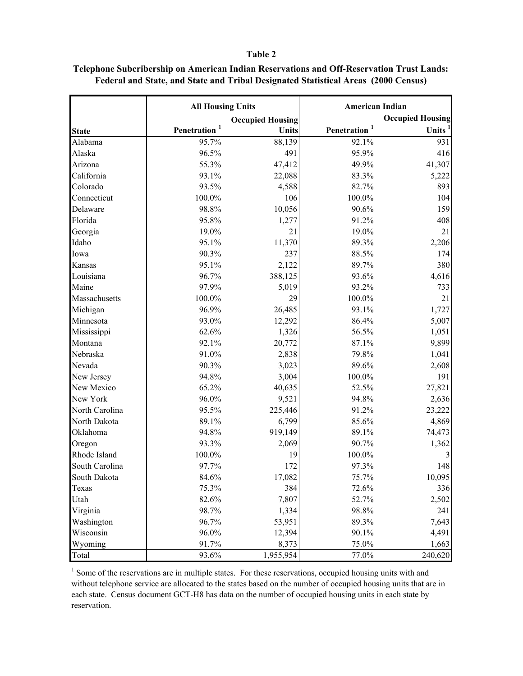|                | <b>All Housing Units</b> |                         | <b>American Indian</b>   |                         |  |
|----------------|--------------------------|-------------------------|--------------------------|-------------------------|--|
|                |                          | <b>Occupied Housing</b> |                          | <b>Occupied Housing</b> |  |
| <b>State</b>   | Penetration <sup>1</sup> | Units                   | Penetration <sup>1</sup> | Units <sup>1</sup>      |  |
| Alabama        | 95.7%                    | 88,139                  | 92.1%                    | 931                     |  |
| Alaska         | 96.5%                    | 491                     | 95.9%                    | 416                     |  |
| Arizona        | 55.3%                    | 47,412                  | 49.9%                    | 41,307                  |  |
| California     | 93.1%                    | 22,088                  | 83.3%                    | 5,222                   |  |
| Colorado       | 93.5%                    | 4,588                   | 82.7%                    | 893                     |  |
| Connecticut    | 100.0%                   | 106                     | 100.0%                   | 104                     |  |
| Delaware       | 98.8%                    | 10,056                  | 90.6%                    | 159                     |  |
| Florida        | 95.8%                    | 1,277                   | 91.2%                    | 408                     |  |
| Georgia        | 19.0%                    | 21                      | 19.0%                    | 21                      |  |
| Idaho          | 95.1%                    | 11,370                  | 89.3%                    | 2,206                   |  |
| Iowa           | 90.3%                    | 237                     | 88.5%                    | 174                     |  |
| Kansas         | 95.1%                    | 2,122                   | 89.7%                    | 380                     |  |
| Louisiana      | 96.7%                    | 388,125                 | 93.6%                    | 4,616                   |  |
| Maine          | 97.9%                    | 5,019                   | 93.2%                    | 733                     |  |
| Massachusetts  | 100.0%                   | 29                      | 100.0%                   | 21                      |  |
| Michigan       | 96.9%                    | 26,485                  | 93.1%                    | 1,727                   |  |
| Minnesota      | 93.0%                    | 12,292                  | 86.4%                    | 5,007                   |  |
| Mississippi    | 62.6%                    | 1,326                   | 56.5%                    | 1,051                   |  |
| Montana        | 92.1%                    | 20,772                  | 87.1%                    | 9,899                   |  |
| Nebraska       | 91.0%                    | 2,838                   | 79.8%                    | 1,041                   |  |
| Nevada         | 90.3%                    | 3,023                   | 89.6%                    | 2,608                   |  |
| New Jersey     | 94.8%                    | 3,004                   | 100.0%                   | 191                     |  |
| New Mexico     | 65.2%                    | 40,635                  | 52.5%                    | 27,821                  |  |
| New York       | 96.0%                    | 9,521                   | 94.8%                    | 2,636                   |  |
| North Carolina | 95.5%                    | 225,446                 | 91.2%                    | 23,222                  |  |
| North Dakota   | 89.1%                    | 6,799                   | 85.6%                    | 4,869                   |  |
| Oklahoma       | 94.8%                    | 919,149                 | 89.1%                    | 74,473                  |  |
| Oregon         | 93.3%                    | 2,069                   | 90.7%                    | 1,362                   |  |
| Rhode Island   | 100.0%                   | 19                      | 100.0%                   | 3                       |  |
| South Carolina | 97.7%                    | 172                     | 97.3%                    | 148                     |  |
| South Dakota   | 84.6%                    | 17,082                  | 75.7%                    | 10,095                  |  |
| Texas          | 75.3%                    | 384                     | 72.6%                    | 336                     |  |
| Utah           | 82.6%                    | 7,807                   | 52.7%                    | 2,502                   |  |
| Virginia       | 98.7%                    | 1,334                   | 98.8%                    | 241                     |  |
| Washington     | 96.7%                    | 53,951                  | 89.3%                    | 7,643                   |  |
| Wisconsin      | 96.0%                    | 12,394                  | 90.1%                    | 4,491                   |  |
| Wyoming        | 91.7%                    | 8,373                   | 75.0%                    | 1,663                   |  |
| Total          | 93.6%                    | 1,955,954               | 77.0%                    | 240,620                 |  |

## **Telephone Subcribership on American Indian Reservations and Off-Reservation Trust Lands: Federal and State, and State and Tribal Designated Statistical Areas (2000 Census)**

 $1$  Some of the reservations are in multiple states. For these reservations, occupied housing units with and without telephone service are allocated to the states based on the number of occupied housing units that are in each state. Census document GCT-H8 has data on the number of occupied housing units in each state by reservation.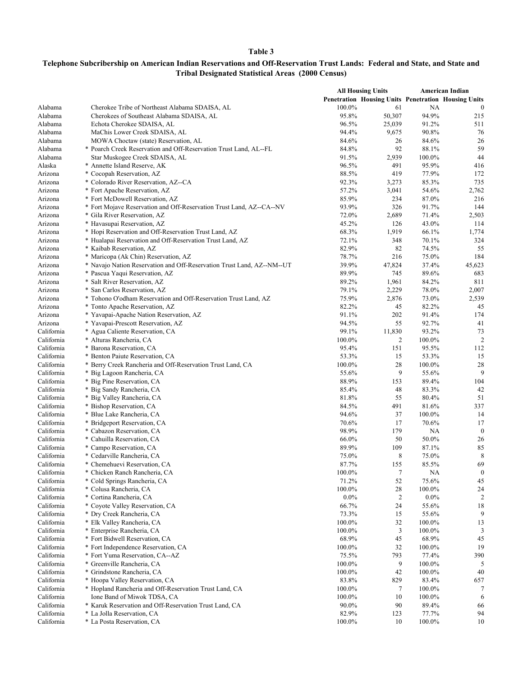| Penetration Housing Units Penetration Housing Units<br>Alabama<br>100.0%<br>61<br>Cherokee Tribe of Northeast Alabama SDAISA, AL<br>NA<br>$\boldsymbol{0}$<br>95.8%<br>Alabama<br>50,307<br>94.9%<br>215<br>Cherokees of Southeast Alabama SDAISA, AL<br>96.5%<br>Alabama<br>25,039<br>91.2%<br>Echota Cherokee SDAISA, AL<br>511<br>94.4%<br>9,675<br>Alabama<br>MaChis Lower Creek SDAISA, AL<br>90.8%<br>76<br>Alabama<br>84.6%<br>26<br>84.6%<br>26<br>MOWA Choctaw (state) Reservation, AL<br>59<br>Alabama<br>84.8%<br>92<br>88.1%<br>* Poarch Creek Reservation and Off-Reservation Trust Land, AL--FL<br>Alabama<br>Star Muskogee Creek SDAISA, AL<br>91.5%<br>2,939<br>100.0%<br>44<br>96.5%<br>491<br>95.9%<br>Alaska<br>* Annette Island Reserve, AK<br>416<br>* Cocopah Reservation, AZ<br>88.5%<br>419<br>77.9%<br>Arizona<br>172<br>* Colorado River Reservation, AZ--CA<br>92.3%<br>85.3%<br>735<br>Arizona<br>3,273<br>* Fort Apache Reservation, AZ<br>57.2%<br>54.6%<br>2,762<br>Arizona<br>3,041<br>* Fort McDowell Reservation, AZ<br>85.9%<br>234<br>87.0%<br>216<br>Arizona<br>* Fort Mojave Reservation and Off-Reservation Trust Land, AZ--CA--NV<br>93.9%<br>326<br>91.7%<br>144<br>Arizona<br>* Gila River Reservation, AZ<br>72.0%<br>2,689<br>2,503<br>Arizona<br>71.4%<br>* Havasupai Reservation, AZ<br>45.2%<br>126<br>43.0%<br>114<br>Arizona<br>* Hopi Reservation and Off-Reservation Trust Land, AZ<br>68.3%<br>1,919<br>66.1%<br>1,774<br>Arizona<br>* Hualapai Reservation and Off-Reservation Trust Land, AZ<br>72.1%<br>70.1%<br>324<br>Arizona<br>348<br>* Kaibab Reservation, AZ<br>82.9%<br>82<br>74.5%<br>55<br>Arizona<br>78.7%<br>216<br>75.0%<br>184<br>Arizona<br>* Maricopa (Ak Chin) Reservation, AZ<br>* Navajo Nation Reservation and Off-Reservation Trust Land, AZ--NM--UT<br>39.9%<br>47,824<br>37.4%<br>45,623<br>Arizona<br>89.9%<br>745<br>89.6%<br>683<br>Arizona<br>* Pascua Yaqui Reservation, AZ<br>* Salt River Reservation, AZ<br>89.2%<br>84.2%<br>811<br>Arizona<br>1,961<br>* San Carlos Reservation, AZ<br>79.1%<br>78.0%<br>Arizona<br>2,229<br>2,007<br>75.9%<br>* Tohono O'odham Reservation and Off-Reservation Trust Land, AZ<br>2,876<br>73.0%<br>2,539<br>Arizona<br>* Tonto Apache Reservation, AZ<br>82.2%<br>Arizona<br>45<br>82.2%<br>45<br>* Yavapai-Apache Nation Reservation, AZ<br>91.1%<br>202<br>91.4%<br>Arizona<br>174<br>Arizona<br>* Yavapai-Prescott Reservation, AZ<br>94.5%<br>55<br>92.7%<br>41<br>California<br>* Agua Caliente Reservation, CA<br>99.1%<br>11,830<br>93.2%<br>73<br>$\overline{2}$<br>California<br>100.0%<br>$\overline{\mathbf{c}}$<br>100.0%<br>* Alturas Rancheria, CA<br>California<br>* Barona Reservation, CA<br>151<br>95.5%<br>112<br>95.4%<br>California<br>* Benton Paiute Reservation, CA<br>53.3%<br>15<br>53.3%<br>15<br>28<br>California<br>* Berry Creek Rancheria and Off-Reservation Trust Land, CA<br>100.0%<br>100.0%<br>28<br>9<br>9<br>California<br>* Big Lagoon Rancheria, CA<br>55.6%<br>55.6%<br>88.9%<br>89.4%<br>California<br>* Big Pine Reservation, CA<br>153<br>104<br>California<br>48<br>83.3%<br>42<br>* Big Sandy Rancheria, CA<br>85.4%<br>California<br>* Big Valley Rancheria, CA<br>81.8%<br>55<br>80.4%<br>51<br>California<br>84.5%<br>491<br>81.6%<br>337<br>* Bishop Reservation, CA<br>* Blue Lake Rancheria, CA<br>94.6%<br>37<br>California<br>100.0%<br>14<br>California<br>* Bridgeport Reservation, CA<br>70.6%<br>17<br>70.6%<br>17<br>98.9%<br>California<br>* Cabazon Reservation, CA<br>179<br>NA<br>$\boldsymbol{0}$<br>California<br>* Cahuilla Reservation, CA<br>66.0%<br>50<br>50.0%<br>26<br>California<br>* Campo Reservation, CA<br>89.9%<br>109<br>87.1%<br>85<br>California<br>* Cedarville Rancheria, CA<br>75.0%<br>8<br>75.0%<br>8<br>California<br>87.7%<br>155<br>85.5%<br>69<br>* Chemehuevi Reservation, CA<br>California<br>* Chicken Ranch Rancheria, CA<br>100.0%<br>7<br>NA<br>$\boldsymbol{0}$<br>California<br>71.2%<br>52<br>75.6%<br>45<br>* Cold Springs Rancheria, CA<br>California<br>* Colusa Rancheria, CA<br>100.0%<br>28<br>100.0%<br>24<br>California<br>* Cortina Rancheria, CA<br>$0.0\%$<br>$\overline{2}$<br>$0.0\%$<br>$\overline{2}$<br>California<br>* Coyote Valley Reservation, CA<br>66.7%<br>24<br>55.6%<br>18<br>9<br>California<br>73.3%<br>15<br>55.6%<br>* Dry Creek Rancheria, CA<br>California<br>* Elk Valley Rancheria, CA<br>100.0%<br>32<br>100.0%<br>13<br>3<br>California<br>* Enterprise Rancheria, CA<br>100.0%<br>3<br>100.0%<br>68.9%<br>California<br>* Fort Bidwell Reservation, CA<br>45<br>68.9%<br>45<br>32<br>19<br>California<br>* Fort Independence Reservation, CA<br>100.0%<br>100.0%<br>California<br>* Fort Yuma Reservation, CA--AZ<br>75.5%<br>793<br>77.4%<br>390<br>California<br>* Greenville Rancheria, CA<br>100.0%<br>9<br>100.0%<br>5<br>* Grindstone Rancheria, CA<br>100.0%<br>100.0%<br>40<br>California<br>42<br>California<br>83.8%<br>829<br>657<br>* Hoopa Valley Reservation, CA<br>83.4%<br>100.0%<br>100.0%<br>California<br>* Hopland Rancheria and Off-Reservation Trust Land, CA<br>7<br>7<br>California<br>Ione Band of Miwok TDSA, CA<br>100.0%<br>10<br>100.0%<br>6<br>California<br>* Karuk Reservation and Off-Reservation Trust Land, CA<br>90.0%<br>90<br>89.4%<br>66<br>California<br>* La Jolla Reservation, CA<br>82.9%<br>123<br>77.7%<br>94<br>California<br>* La Posta Reservation, CA<br>100.0%<br>10<br>100.0%<br>10 |  | <b>All Housing Units</b> |  | American Indian |  |
|-------------------------------------------------------------------------------------------------------------------------------------------------------------------------------------------------------------------------------------------------------------------------------------------------------------------------------------------------------------------------------------------------------------------------------------------------------------------------------------------------------------------------------------------------------------------------------------------------------------------------------------------------------------------------------------------------------------------------------------------------------------------------------------------------------------------------------------------------------------------------------------------------------------------------------------------------------------------------------------------------------------------------------------------------------------------------------------------------------------------------------------------------------------------------------------------------------------------------------------------------------------------------------------------------------------------------------------------------------------------------------------------------------------------------------------------------------------------------------------------------------------------------------------------------------------------------------------------------------------------------------------------------------------------------------------------------------------------------------------------------------------------------------------------------------------------------------------------------------------------------------------------------------------------------------------------------------------------------------------------------------------------------------------------------------------------------------------------------------------------------------------------------------------------------------------------------------------------------------------------------------------------------------------------------------------------------------------------------------------------------------------------------------------------------------------------------------------------------------------------------------------------------------------------------------------------------------------------------------------------------------------------------------------------------------------------------------------------------------------------------------------------------------------------------------------------------------------------------------------------------------------------------------------------------------------------------------------------------------------------------------------------------------------------------------------------------------------------------------------------------------------------------------------------------------------------------------------------------------------------------------------------------------------------------------------------------------------------------------------------------------------------------------------------------------------------------------------------------------------------------------------------------------------------------------------------------------------------------------------------------------------------------------------------------------------------------------------------------------------------------------------------------------------------------------------------------------------------------------------------------------------------------------------------------------------------------------------------------------------------------------------------------------------------------------------------------------------------------------------------------------------------------------------------------------------------------------------------------------------------------------------------------------------------------------------------------------------------------------------------------------------------------------------------------------------------------------------------------------------------------------------------------------------------------------------------------------------------------------------------------------------------------------------------------------------------------------------------------------------------------------------------------------------------------------------------------------------------------------------------------------------------------------------------------------------------------------------------------------------------------------------------------------------------------------------------------------------------------------------------------------------------------------------------------------------------------------------------------------------------------------------------------------------------------------------------------------------------------------------------------------------------------------------------------------------------------------------------------------------------------------|--|--------------------------|--|-----------------|--|
|                                                                                                                                                                                                                                                                                                                                                                                                                                                                                                                                                                                                                                                                                                                                                                                                                                                                                                                                                                                                                                                                                                                                                                                                                                                                                                                                                                                                                                                                                                                                                                                                                                                                                                                                                                                                                                                                                                                                                                                                                                                                                                                                                                                                                                                                                                                                                                                                                                                                                                                                                                                                                                                                                                                                                                                                                                                                                                                                                                                                                                                                                                                                                                                                                                                                                                                                                                                                                                                                                                                                                                                                                                                                                                                                                                                                                                                                                                                                                                                                                                                                                                                                                                                                                                                                                                                                                                                                                                                                                                                                                                                                                                                                                                                                                                                                                                                                                                                                                                                                                                                                                                                                                                                                                                                                                                                                                                                                                                                                                                       |  |                          |  |                 |  |
|                                                                                                                                                                                                                                                                                                                                                                                                                                                                                                                                                                                                                                                                                                                                                                                                                                                                                                                                                                                                                                                                                                                                                                                                                                                                                                                                                                                                                                                                                                                                                                                                                                                                                                                                                                                                                                                                                                                                                                                                                                                                                                                                                                                                                                                                                                                                                                                                                                                                                                                                                                                                                                                                                                                                                                                                                                                                                                                                                                                                                                                                                                                                                                                                                                                                                                                                                                                                                                                                                                                                                                                                                                                                                                                                                                                                                                                                                                                                                                                                                                                                                                                                                                                                                                                                                                                                                                                                                                                                                                                                                                                                                                                                                                                                                                                                                                                                                                                                                                                                                                                                                                                                                                                                                                                                                                                                                                                                                                                                                                       |  |                          |  |                 |  |
|                                                                                                                                                                                                                                                                                                                                                                                                                                                                                                                                                                                                                                                                                                                                                                                                                                                                                                                                                                                                                                                                                                                                                                                                                                                                                                                                                                                                                                                                                                                                                                                                                                                                                                                                                                                                                                                                                                                                                                                                                                                                                                                                                                                                                                                                                                                                                                                                                                                                                                                                                                                                                                                                                                                                                                                                                                                                                                                                                                                                                                                                                                                                                                                                                                                                                                                                                                                                                                                                                                                                                                                                                                                                                                                                                                                                                                                                                                                                                                                                                                                                                                                                                                                                                                                                                                                                                                                                                                                                                                                                                                                                                                                                                                                                                                                                                                                                                                                                                                                                                                                                                                                                                                                                                                                                                                                                                                                                                                                                                                       |  |                          |  |                 |  |
|                                                                                                                                                                                                                                                                                                                                                                                                                                                                                                                                                                                                                                                                                                                                                                                                                                                                                                                                                                                                                                                                                                                                                                                                                                                                                                                                                                                                                                                                                                                                                                                                                                                                                                                                                                                                                                                                                                                                                                                                                                                                                                                                                                                                                                                                                                                                                                                                                                                                                                                                                                                                                                                                                                                                                                                                                                                                                                                                                                                                                                                                                                                                                                                                                                                                                                                                                                                                                                                                                                                                                                                                                                                                                                                                                                                                                                                                                                                                                                                                                                                                                                                                                                                                                                                                                                                                                                                                                                                                                                                                                                                                                                                                                                                                                                                                                                                                                                                                                                                                                                                                                                                                                                                                                                                                                                                                                                                                                                                                                                       |  |                          |  |                 |  |
|                                                                                                                                                                                                                                                                                                                                                                                                                                                                                                                                                                                                                                                                                                                                                                                                                                                                                                                                                                                                                                                                                                                                                                                                                                                                                                                                                                                                                                                                                                                                                                                                                                                                                                                                                                                                                                                                                                                                                                                                                                                                                                                                                                                                                                                                                                                                                                                                                                                                                                                                                                                                                                                                                                                                                                                                                                                                                                                                                                                                                                                                                                                                                                                                                                                                                                                                                                                                                                                                                                                                                                                                                                                                                                                                                                                                                                                                                                                                                                                                                                                                                                                                                                                                                                                                                                                                                                                                                                                                                                                                                                                                                                                                                                                                                                                                                                                                                                                                                                                                                                                                                                                                                                                                                                                                                                                                                                                                                                                                                                       |  |                          |  |                 |  |
|                                                                                                                                                                                                                                                                                                                                                                                                                                                                                                                                                                                                                                                                                                                                                                                                                                                                                                                                                                                                                                                                                                                                                                                                                                                                                                                                                                                                                                                                                                                                                                                                                                                                                                                                                                                                                                                                                                                                                                                                                                                                                                                                                                                                                                                                                                                                                                                                                                                                                                                                                                                                                                                                                                                                                                                                                                                                                                                                                                                                                                                                                                                                                                                                                                                                                                                                                                                                                                                                                                                                                                                                                                                                                                                                                                                                                                                                                                                                                                                                                                                                                                                                                                                                                                                                                                                                                                                                                                                                                                                                                                                                                                                                                                                                                                                                                                                                                                                                                                                                                                                                                                                                                                                                                                                                                                                                                                                                                                                                                                       |  |                          |  |                 |  |
|                                                                                                                                                                                                                                                                                                                                                                                                                                                                                                                                                                                                                                                                                                                                                                                                                                                                                                                                                                                                                                                                                                                                                                                                                                                                                                                                                                                                                                                                                                                                                                                                                                                                                                                                                                                                                                                                                                                                                                                                                                                                                                                                                                                                                                                                                                                                                                                                                                                                                                                                                                                                                                                                                                                                                                                                                                                                                                                                                                                                                                                                                                                                                                                                                                                                                                                                                                                                                                                                                                                                                                                                                                                                                                                                                                                                                                                                                                                                                                                                                                                                                                                                                                                                                                                                                                                                                                                                                                                                                                                                                                                                                                                                                                                                                                                                                                                                                                                                                                                                                                                                                                                                                                                                                                                                                                                                                                                                                                                                                                       |  |                          |  |                 |  |
|                                                                                                                                                                                                                                                                                                                                                                                                                                                                                                                                                                                                                                                                                                                                                                                                                                                                                                                                                                                                                                                                                                                                                                                                                                                                                                                                                                                                                                                                                                                                                                                                                                                                                                                                                                                                                                                                                                                                                                                                                                                                                                                                                                                                                                                                                                                                                                                                                                                                                                                                                                                                                                                                                                                                                                                                                                                                                                                                                                                                                                                                                                                                                                                                                                                                                                                                                                                                                                                                                                                                                                                                                                                                                                                                                                                                                                                                                                                                                                                                                                                                                                                                                                                                                                                                                                                                                                                                                                                                                                                                                                                                                                                                                                                                                                                                                                                                                                                                                                                                                                                                                                                                                                                                                                                                                                                                                                                                                                                                                                       |  |                          |  |                 |  |
|                                                                                                                                                                                                                                                                                                                                                                                                                                                                                                                                                                                                                                                                                                                                                                                                                                                                                                                                                                                                                                                                                                                                                                                                                                                                                                                                                                                                                                                                                                                                                                                                                                                                                                                                                                                                                                                                                                                                                                                                                                                                                                                                                                                                                                                                                                                                                                                                                                                                                                                                                                                                                                                                                                                                                                                                                                                                                                                                                                                                                                                                                                                                                                                                                                                                                                                                                                                                                                                                                                                                                                                                                                                                                                                                                                                                                                                                                                                                                                                                                                                                                                                                                                                                                                                                                                                                                                                                                                                                                                                                                                                                                                                                                                                                                                                                                                                                                                                                                                                                                                                                                                                                                                                                                                                                                                                                                                                                                                                                                                       |  |                          |  |                 |  |
|                                                                                                                                                                                                                                                                                                                                                                                                                                                                                                                                                                                                                                                                                                                                                                                                                                                                                                                                                                                                                                                                                                                                                                                                                                                                                                                                                                                                                                                                                                                                                                                                                                                                                                                                                                                                                                                                                                                                                                                                                                                                                                                                                                                                                                                                                                                                                                                                                                                                                                                                                                                                                                                                                                                                                                                                                                                                                                                                                                                                                                                                                                                                                                                                                                                                                                                                                                                                                                                                                                                                                                                                                                                                                                                                                                                                                                                                                                                                                                                                                                                                                                                                                                                                                                                                                                                                                                                                                                                                                                                                                                                                                                                                                                                                                                                                                                                                                                                                                                                                                                                                                                                                                                                                                                                                                                                                                                                                                                                                                                       |  |                          |  |                 |  |
|                                                                                                                                                                                                                                                                                                                                                                                                                                                                                                                                                                                                                                                                                                                                                                                                                                                                                                                                                                                                                                                                                                                                                                                                                                                                                                                                                                                                                                                                                                                                                                                                                                                                                                                                                                                                                                                                                                                                                                                                                                                                                                                                                                                                                                                                                                                                                                                                                                                                                                                                                                                                                                                                                                                                                                                                                                                                                                                                                                                                                                                                                                                                                                                                                                                                                                                                                                                                                                                                                                                                                                                                                                                                                                                                                                                                                                                                                                                                                                                                                                                                                                                                                                                                                                                                                                                                                                                                                                                                                                                                                                                                                                                                                                                                                                                                                                                                                                                                                                                                                                                                                                                                                                                                                                                                                                                                                                                                                                                                                                       |  |                          |  |                 |  |
|                                                                                                                                                                                                                                                                                                                                                                                                                                                                                                                                                                                                                                                                                                                                                                                                                                                                                                                                                                                                                                                                                                                                                                                                                                                                                                                                                                                                                                                                                                                                                                                                                                                                                                                                                                                                                                                                                                                                                                                                                                                                                                                                                                                                                                                                                                                                                                                                                                                                                                                                                                                                                                                                                                                                                                                                                                                                                                                                                                                                                                                                                                                                                                                                                                                                                                                                                                                                                                                                                                                                                                                                                                                                                                                                                                                                                                                                                                                                                                                                                                                                                                                                                                                                                                                                                                                                                                                                                                                                                                                                                                                                                                                                                                                                                                                                                                                                                                                                                                                                                                                                                                                                                                                                                                                                                                                                                                                                                                                                                                       |  |                          |  |                 |  |
|                                                                                                                                                                                                                                                                                                                                                                                                                                                                                                                                                                                                                                                                                                                                                                                                                                                                                                                                                                                                                                                                                                                                                                                                                                                                                                                                                                                                                                                                                                                                                                                                                                                                                                                                                                                                                                                                                                                                                                                                                                                                                                                                                                                                                                                                                                                                                                                                                                                                                                                                                                                                                                                                                                                                                                                                                                                                                                                                                                                                                                                                                                                                                                                                                                                                                                                                                                                                                                                                                                                                                                                                                                                                                                                                                                                                                                                                                                                                                                                                                                                                                                                                                                                                                                                                                                                                                                                                                                                                                                                                                                                                                                                                                                                                                                                                                                                                                                                                                                                                                                                                                                                                                                                                                                                                                                                                                                                                                                                                                                       |  |                          |  |                 |  |
|                                                                                                                                                                                                                                                                                                                                                                                                                                                                                                                                                                                                                                                                                                                                                                                                                                                                                                                                                                                                                                                                                                                                                                                                                                                                                                                                                                                                                                                                                                                                                                                                                                                                                                                                                                                                                                                                                                                                                                                                                                                                                                                                                                                                                                                                                                                                                                                                                                                                                                                                                                                                                                                                                                                                                                                                                                                                                                                                                                                                                                                                                                                                                                                                                                                                                                                                                                                                                                                                                                                                                                                                                                                                                                                                                                                                                                                                                                                                                                                                                                                                                                                                                                                                                                                                                                                                                                                                                                                                                                                                                                                                                                                                                                                                                                                                                                                                                                                                                                                                                                                                                                                                                                                                                                                                                                                                                                                                                                                                                                       |  |                          |  |                 |  |
|                                                                                                                                                                                                                                                                                                                                                                                                                                                                                                                                                                                                                                                                                                                                                                                                                                                                                                                                                                                                                                                                                                                                                                                                                                                                                                                                                                                                                                                                                                                                                                                                                                                                                                                                                                                                                                                                                                                                                                                                                                                                                                                                                                                                                                                                                                                                                                                                                                                                                                                                                                                                                                                                                                                                                                                                                                                                                                                                                                                                                                                                                                                                                                                                                                                                                                                                                                                                                                                                                                                                                                                                                                                                                                                                                                                                                                                                                                                                                                                                                                                                                                                                                                                                                                                                                                                                                                                                                                                                                                                                                                                                                                                                                                                                                                                                                                                                                                                                                                                                                                                                                                                                                                                                                                                                                                                                                                                                                                                                                                       |  |                          |  |                 |  |
|                                                                                                                                                                                                                                                                                                                                                                                                                                                                                                                                                                                                                                                                                                                                                                                                                                                                                                                                                                                                                                                                                                                                                                                                                                                                                                                                                                                                                                                                                                                                                                                                                                                                                                                                                                                                                                                                                                                                                                                                                                                                                                                                                                                                                                                                                                                                                                                                                                                                                                                                                                                                                                                                                                                                                                                                                                                                                                                                                                                                                                                                                                                                                                                                                                                                                                                                                                                                                                                                                                                                                                                                                                                                                                                                                                                                                                                                                                                                                                                                                                                                                                                                                                                                                                                                                                                                                                                                                                                                                                                                                                                                                                                                                                                                                                                                                                                                                                                                                                                                                                                                                                                                                                                                                                                                                                                                                                                                                                                                                                       |  |                          |  |                 |  |
|                                                                                                                                                                                                                                                                                                                                                                                                                                                                                                                                                                                                                                                                                                                                                                                                                                                                                                                                                                                                                                                                                                                                                                                                                                                                                                                                                                                                                                                                                                                                                                                                                                                                                                                                                                                                                                                                                                                                                                                                                                                                                                                                                                                                                                                                                                                                                                                                                                                                                                                                                                                                                                                                                                                                                                                                                                                                                                                                                                                                                                                                                                                                                                                                                                                                                                                                                                                                                                                                                                                                                                                                                                                                                                                                                                                                                                                                                                                                                                                                                                                                                                                                                                                                                                                                                                                                                                                                                                                                                                                                                                                                                                                                                                                                                                                                                                                                                                                                                                                                                                                                                                                                                                                                                                                                                                                                                                                                                                                                                                       |  |                          |  |                 |  |
|                                                                                                                                                                                                                                                                                                                                                                                                                                                                                                                                                                                                                                                                                                                                                                                                                                                                                                                                                                                                                                                                                                                                                                                                                                                                                                                                                                                                                                                                                                                                                                                                                                                                                                                                                                                                                                                                                                                                                                                                                                                                                                                                                                                                                                                                                                                                                                                                                                                                                                                                                                                                                                                                                                                                                                                                                                                                                                                                                                                                                                                                                                                                                                                                                                                                                                                                                                                                                                                                                                                                                                                                                                                                                                                                                                                                                                                                                                                                                                                                                                                                                                                                                                                                                                                                                                                                                                                                                                                                                                                                                                                                                                                                                                                                                                                                                                                                                                                                                                                                                                                                                                                                                                                                                                                                                                                                                                                                                                                                                                       |  |                          |  |                 |  |
|                                                                                                                                                                                                                                                                                                                                                                                                                                                                                                                                                                                                                                                                                                                                                                                                                                                                                                                                                                                                                                                                                                                                                                                                                                                                                                                                                                                                                                                                                                                                                                                                                                                                                                                                                                                                                                                                                                                                                                                                                                                                                                                                                                                                                                                                                                                                                                                                                                                                                                                                                                                                                                                                                                                                                                                                                                                                                                                                                                                                                                                                                                                                                                                                                                                                                                                                                                                                                                                                                                                                                                                                                                                                                                                                                                                                                                                                                                                                                                                                                                                                                                                                                                                                                                                                                                                                                                                                                                                                                                                                                                                                                                                                                                                                                                                                                                                                                                                                                                                                                                                                                                                                                                                                                                                                                                                                                                                                                                                                                                       |  |                          |  |                 |  |
|                                                                                                                                                                                                                                                                                                                                                                                                                                                                                                                                                                                                                                                                                                                                                                                                                                                                                                                                                                                                                                                                                                                                                                                                                                                                                                                                                                                                                                                                                                                                                                                                                                                                                                                                                                                                                                                                                                                                                                                                                                                                                                                                                                                                                                                                                                                                                                                                                                                                                                                                                                                                                                                                                                                                                                                                                                                                                                                                                                                                                                                                                                                                                                                                                                                                                                                                                                                                                                                                                                                                                                                                                                                                                                                                                                                                                                                                                                                                                                                                                                                                                                                                                                                                                                                                                                                                                                                                                                                                                                                                                                                                                                                                                                                                                                                                                                                                                                                                                                                                                                                                                                                                                                                                                                                                                                                                                                                                                                                                                                       |  |                          |  |                 |  |
|                                                                                                                                                                                                                                                                                                                                                                                                                                                                                                                                                                                                                                                                                                                                                                                                                                                                                                                                                                                                                                                                                                                                                                                                                                                                                                                                                                                                                                                                                                                                                                                                                                                                                                                                                                                                                                                                                                                                                                                                                                                                                                                                                                                                                                                                                                                                                                                                                                                                                                                                                                                                                                                                                                                                                                                                                                                                                                                                                                                                                                                                                                                                                                                                                                                                                                                                                                                                                                                                                                                                                                                                                                                                                                                                                                                                                                                                                                                                                                                                                                                                                                                                                                                                                                                                                                                                                                                                                                                                                                                                                                                                                                                                                                                                                                                                                                                                                                                                                                                                                                                                                                                                                                                                                                                                                                                                                                                                                                                                                                       |  |                          |  |                 |  |
|                                                                                                                                                                                                                                                                                                                                                                                                                                                                                                                                                                                                                                                                                                                                                                                                                                                                                                                                                                                                                                                                                                                                                                                                                                                                                                                                                                                                                                                                                                                                                                                                                                                                                                                                                                                                                                                                                                                                                                                                                                                                                                                                                                                                                                                                                                                                                                                                                                                                                                                                                                                                                                                                                                                                                                                                                                                                                                                                                                                                                                                                                                                                                                                                                                                                                                                                                                                                                                                                                                                                                                                                                                                                                                                                                                                                                                                                                                                                                                                                                                                                                                                                                                                                                                                                                                                                                                                                                                                                                                                                                                                                                                                                                                                                                                                                                                                                                                                                                                                                                                                                                                                                                                                                                                                                                                                                                                                                                                                                                                       |  |                          |  |                 |  |
|                                                                                                                                                                                                                                                                                                                                                                                                                                                                                                                                                                                                                                                                                                                                                                                                                                                                                                                                                                                                                                                                                                                                                                                                                                                                                                                                                                                                                                                                                                                                                                                                                                                                                                                                                                                                                                                                                                                                                                                                                                                                                                                                                                                                                                                                                                                                                                                                                                                                                                                                                                                                                                                                                                                                                                                                                                                                                                                                                                                                                                                                                                                                                                                                                                                                                                                                                                                                                                                                                                                                                                                                                                                                                                                                                                                                                                                                                                                                                                                                                                                                                                                                                                                                                                                                                                                                                                                                                                                                                                                                                                                                                                                                                                                                                                                                                                                                                                                                                                                                                                                                                                                                                                                                                                                                                                                                                                                                                                                                                                       |  |                          |  |                 |  |
|                                                                                                                                                                                                                                                                                                                                                                                                                                                                                                                                                                                                                                                                                                                                                                                                                                                                                                                                                                                                                                                                                                                                                                                                                                                                                                                                                                                                                                                                                                                                                                                                                                                                                                                                                                                                                                                                                                                                                                                                                                                                                                                                                                                                                                                                                                                                                                                                                                                                                                                                                                                                                                                                                                                                                                                                                                                                                                                                                                                                                                                                                                                                                                                                                                                                                                                                                                                                                                                                                                                                                                                                                                                                                                                                                                                                                                                                                                                                                                                                                                                                                                                                                                                                                                                                                                                                                                                                                                                                                                                                                                                                                                                                                                                                                                                                                                                                                                                                                                                                                                                                                                                                                                                                                                                                                                                                                                                                                                                                                                       |  |                          |  |                 |  |
|                                                                                                                                                                                                                                                                                                                                                                                                                                                                                                                                                                                                                                                                                                                                                                                                                                                                                                                                                                                                                                                                                                                                                                                                                                                                                                                                                                                                                                                                                                                                                                                                                                                                                                                                                                                                                                                                                                                                                                                                                                                                                                                                                                                                                                                                                                                                                                                                                                                                                                                                                                                                                                                                                                                                                                                                                                                                                                                                                                                                                                                                                                                                                                                                                                                                                                                                                                                                                                                                                                                                                                                                                                                                                                                                                                                                                                                                                                                                                                                                                                                                                                                                                                                                                                                                                                                                                                                                                                                                                                                                                                                                                                                                                                                                                                                                                                                                                                                                                                                                                                                                                                                                                                                                                                                                                                                                                                                                                                                                                                       |  |                          |  |                 |  |
|                                                                                                                                                                                                                                                                                                                                                                                                                                                                                                                                                                                                                                                                                                                                                                                                                                                                                                                                                                                                                                                                                                                                                                                                                                                                                                                                                                                                                                                                                                                                                                                                                                                                                                                                                                                                                                                                                                                                                                                                                                                                                                                                                                                                                                                                                                                                                                                                                                                                                                                                                                                                                                                                                                                                                                                                                                                                                                                                                                                                                                                                                                                                                                                                                                                                                                                                                                                                                                                                                                                                                                                                                                                                                                                                                                                                                                                                                                                                                                                                                                                                                                                                                                                                                                                                                                                                                                                                                                                                                                                                                                                                                                                                                                                                                                                                                                                                                                                                                                                                                                                                                                                                                                                                                                                                                                                                                                                                                                                                                                       |  |                          |  |                 |  |
|                                                                                                                                                                                                                                                                                                                                                                                                                                                                                                                                                                                                                                                                                                                                                                                                                                                                                                                                                                                                                                                                                                                                                                                                                                                                                                                                                                                                                                                                                                                                                                                                                                                                                                                                                                                                                                                                                                                                                                                                                                                                                                                                                                                                                                                                                                                                                                                                                                                                                                                                                                                                                                                                                                                                                                                                                                                                                                                                                                                                                                                                                                                                                                                                                                                                                                                                                                                                                                                                                                                                                                                                                                                                                                                                                                                                                                                                                                                                                                                                                                                                                                                                                                                                                                                                                                                                                                                                                                                                                                                                                                                                                                                                                                                                                                                                                                                                                                                                                                                                                                                                                                                                                                                                                                                                                                                                                                                                                                                                                                       |  |                          |  |                 |  |
|                                                                                                                                                                                                                                                                                                                                                                                                                                                                                                                                                                                                                                                                                                                                                                                                                                                                                                                                                                                                                                                                                                                                                                                                                                                                                                                                                                                                                                                                                                                                                                                                                                                                                                                                                                                                                                                                                                                                                                                                                                                                                                                                                                                                                                                                                                                                                                                                                                                                                                                                                                                                                                                                                                                                                                                                                                                                                                                                                                                                                                                                                                                                                                                                                                                                                                                                                                                                                                                                                                                                                                                                                                                                                                                                                                                                                                                                                                                                                                                                                                                                                                                                                                                                                                                                                                                                                                                                                                                                                                                                                                                                                                                                                                                                                                                                                                                                                                                                                                                                                                                                                                                                                                                                                                                                                                                                                                                                                                                                                                       |  |                          |  |                 |  |
|                                                                                                                                                                                                                                                                                                                                                                                                                                                                                                                                                                                                                                                                                                                                                                                                                                                                                                                                                                                                                                                                                                                                                                                                                                                                                                                                                                                                                                                                                                                                                                                                                                                                                                                                                                                                                                                                                                                                                                                                                                                                                                                                                                                                                                                                                                                                                                                                                                                                                                                                                                                                                                                                                                                                                                                                                                                                                                                                                                                                                                                                                                                                                                                                                                                                                                                                                                                                                                                                                                                                                                                                                                                                                                                                                                                                                                                                                                                                                                                                                                                                                                                                                                                                                                                                                                                                                                                                                                                                                                                                                                                                                                                                                                                                                                                                                                                                                                                                                                                                                                                                                                                                                                                                                                                                                                                                                                                                                                                                                                       |  |                          |  |                 |  |
|                                                                                                                                                                                                                                                                                                                                                                                                                                                                                                                                                                                                                                                                                                                                                                                                                                                                                                                                                                                                                                                                                                                                                                                                                                                                                                                                                                                                                                                                                                                                                                                                                                                                                                                                                                                                                                                                                                                                                                                                                                                                                                                                                                                                                                                                                                                                                                                                                                                                                                                                                                                                                                                                                                                                                                                                                                                                                                                                                                                                                                                                                                                                                                                                                                                                                                                                                                                                                                                                                                                                                                                                                                                                                                                                                                                                                                                                                                                                                                                                                                                                                                                                                                                                                                                                                                                                                                                                                                                                                                                                                                                                                                                                                                                                                                                                                                                                                                                                                                                                                                                                                                                                                                                                                                                                                                                                                                                                                                                                                                       |  |                          |  |                 |  |
|                                                                                                                                                                                                                                                                                                                                                                                                                                                                                                                                                                                                                                                                                                                                                                                                                                                                                                                                                                                                                                                                                                                                                                                                                                                                                                                                                                                                                                                                                                                                                                                                                                                                                                                                                                                                                                                                                                                                                                                                                                                                                                                                                                                                                                                                                                                                                                                                                                                                                                                                                                                                                                                                                                                                                                                                                                                                                                                                                                                                                                                                                                                                                                                                                                                                                                                                                                                                                                                                                                                                                                                                                                                                                                                                                                                                                                                                                                                                                                                                                                                                                                                                                                                                                                                                                                                                                                                                                                                                                                                                                                                                                                                                                                                                                                                                                                                                                                                                                                                                                                                                                                                                                                                                                                                                                                                                                                                                                                                                                                       |  |                          |  |                 |  |
|                                                                                                                                                                                                                                                                                                                                                                                                                                                                                                                                                                                                                                                                                                                                                                                                                                                                                                                                                                                                                                                                                                                                                                                                                                                                                                                                                                                                                                                                                                                                                                                                                                                                                                                                                                                                                                                                                                                                                                                                                                                                                                                                                                                                                                                                                                                                                                                                                                                                                                                                                                                                                                                                                                                                                                                                                                                                                                                                                                                                                                                                                                                                                                                                                                                                                                                                                                                                                                                                                                                                                                                                                                                                                                                                                                                                                                                                                                                                                                                                                                                                                                                                                                                                                                                                                                                                                                                                                                                                                                                                                                                                                                                                                                                                                                                                                                                                                                                                                                                                                                                                                                                                                                                                                                                                                                                                                                                                                                                                                                       |  |                          |  |                 |  |
|                                                                                                                                                                                                                                                                                                                                                                                                                                                                                                                                                                                                                                                                                                                                                                                                                                                                                                                                                                                                                                                                                                                                                                                                                                                                                                                                                                                                                                                                                                                                                                                                                                                                                                                                                                                                                                                                                                                                                                                                                                                                                                                                                                                                                                                                                                                                                                                                                                                                                                                                                                                                                                                                                                                                                                                                                                                                                                                                                                                                                                                                                                                                                                                                                                                                                                                                                                                                                                                                                                                                                                                                                                                                                                                                                                                                                                                                                                                                                                                                                                                                                                                                                                                                                                                                                                                                                                                                                                                                                                                                                                                                                                                                                                                                                                                                                                                                                                                                                                                                                                                                                                                                                                                                                                                                                                                                                                                                                                                                                                       |  |                          |  |                 |  |
|                                                                                                                                                                                                                                                                                                                                                                                                                                                                                                                                                                                                                                                                                                                                                                                                                                                                                                                                                                                                                                                                                                                                                                                                                                                                                                                                                                                                                                                                                                                                                                                                                                                                                                                                                                                                                                                                                                                                                                                                                                                                                                                                                                                                                                                                                                                                                                                                                                                                                                                                                                                                                                                                                                                                                                                                                                                                                                                                                                                                                                                                                                                                                                                                                                                                                                                                                                                                                                                                                                                                                                                                                                                                                                                                                                                                                                                                                                                                                                                                                                                                                                                                                                                                                                                                                                                                                                                                                                                                                                                                                                                                                                                                                                                                                                                                                                                                                                                                                                                                                                                                                                                                                                                                                                                                                                                                                                                                                                                                                                       |  |                          |  |                 |  |
|                                                                                                                                                                                                                                                                                                                                                                                                                                                                                                                                                                                                                                                                                                                                                                                                                                                                                                                                                                                                                                                                                                                                                                                                                                                                                                                                                                                                                                                                                                                                                                                                                                                                                                                                                                                                                                                                                                                                                                                                                                                                                                                                                                                                                                                                                                                                                                                                                                                                                                                                                                                                                                                                                                                                                                                                                                                                                                                                                                                                                                                                                                                                                                                                                                                                                                                                                                                                                                                                                                                                                                                                                                                                                                                                                                                                                                                                                                                                                                                                                                                                                                                                                                                                                                                                                                                                                                                                                                                                                                                                                                                                                                                                                                                                                                                                                                                                                                                                                                                                                                                                                                                                                                                                                                                                                                                                                                                                                                                                                                       |  |                          |  |                 |  |
|                                                                                                                                                                                                                                                                                                                                                                                                                                                                                                                                                                                                                                                                                                                                                                                                                                                                                                                                                                                                                                                                                                                                                                                                                                                                                                                                                                                                                                                                                                                                                                                                                                                                                                                                                                                                                                                                                                                                                                                                                                                                                                                                                                                                                                                                                                                                                                                                                                                                                                                                                                                                                                                                                                                                                                                                                                                                                                                                                                                                                                                                                                                                                                                                                                                                                                                                                                                                                                                                                                                                                                                                                                                                                                                                                                                                                                                                                                                                                                                                                                                                                                                                                                                                                                                                                                                                                                                                                                                                                                                                                                                                                                                                                                                                                                                                                                                                                                                                                                                                                                                                                                                                                                                                                                                                                                                                                                                                                                                                                                       |  |                          |  |                 |  |
|                                                                                                                                                                                                                                                                                                                                                                                                                                                                                                                                                                                                                                                                                                                                                                                                                                                                                                                                                                                                                                                                                                                                                                                                                                                                                                                                                                                                                                                                                                                                                                                                                                                                                                                                                                                                                                                                                                                                                                                                                                                                                                                                                                                                                                                                                                                                                                                                                                                                                                                                                                                                                                                                                                                                                                                                                                                                                                                                                                                                                                                                                                                                                                                                                                                                                                                                                                                                                                                                                                                                                                                                                                                                                                                                                                                                                                                                                                                                                                                                                                                                                                                                                                                                                                                                                                                                                                                                                                                                                                                                                                                                                                                                                                                                                                                                                                                                                                                                                                                                                                                                                                                                                                                                                                                                                                                                                                                                                                                                                                       |  |                          |  |                 |  |
|                                                                                                                                                                                                                                                                                                                                                                                                                                                                                                                                                                                                                                                                                                                                                                                                                                                                                                                                                                                                                                                                                                                                                                                                                                                                                                                                                                                                                                                                                                                                                                                                                                                                                                                                                                                                                                                                                                                                                                                                                                                                                                                                                                                                                                                                                                                                                                                                                                                                                                                                                                                                                                                                                                                                                                                                                                                                                                                                                                                                                                                                                                                                                                                                                                                                                                                                                                                                                                                                                                                                                                                                                                                                                                                                                                                                                                                                                                                                                                                                                                                                                                                                                                                                                                                                                                                                                                                                                                                                                                                                                                                                                                                                                                                                                                                                                                                                                                                                                                                                                                                                                                                                                                                                                                                                                                                                                                                                                                                                                                       |  |                          |  |                 |  |
|                                                                                                                                                                                                                                                                                                                                                                                                                                                                                                                                                                                                                                                                                                                                                                                                                                                                                                                                                                                                                                                                                                                                                                                                                                                                                                                                                                                                                                                                                                                                                                                                                                                                                                                                                                                                                                                                                                                                                                                                                                                                                                                                                                                                                                                                                                                                                                                                                                                                                                                                                                                                                                                                                                                                                                                                                                                                                                                                                                                                                                                                                                                                                                                                                                                                                                                                                                                                                                                                                                                                                                                                                                                                                                                                                                                                                                                                                                                                                                                                                                                                                                                                                                                                                                                                                                                                                                                                                                                                                                                                                                                                                                                                                                                                                                                                                                                                                                                                                                                                                                                                                                                                                                                                                                                                                                                                                                                                                                                                                                       |  |                          |  |                 |  |
|                                                                                                                                                                                                                                                                                                                                                                                                                                                                                                                                                                                                                                                                                                                                                                                                                                                                                                                                                                                                                                                                                                                                                                                                                                                                                                                                                                                                                                                                                                                                                                                                                                                                                                                                                                                                                                                                                                                                                                                                                                                                                                                                                                                                                                                                                                                                                                                                                                                                                                                                                                                                                                                                                                                                                                                                                                                                                                                                                                                                                                                                                                                                                                                                                                                                                                                                                                                                                                                                                                                                                                                                                                                                                                                                                                                                                                                                                                                                                                                                                                                                                                                                                                                                                                                                                                                                                                                                                                                                                                                                                                                                                                                                                                                                                                                                                                                                                                                                                                                                                                                                                                                                                                                                                                                                                                                                                                                                                                                                                                       |  |                          |  |                 |  |
|                                                                                                                                                                                                                                                                                                                                                                                                                                                                                                                                                                                                                                                                                                                                                                                                                                                                                                                                                                                                                                                                                                                                                                                                                                                                                                                                                                                                                                                                                                                                                                                                                                                                                                                                                                                                                                                                                                                                                                                                                                                                                                                                                                                                                                                                                                                                                                                                                                                                                                                                                                                                                                                                                                                                                                                                                                                                                                                                                                                                                                                                                                                                                                                                                                                                                                                                                                                                                                                                                                                                                                                                                                                                                                                                                                                                                                                                                                                                                                                                                                                                                                                                                                                                                                                                                                                                                                                                                                                                                                                                                                                                                                                                                                                                                                                                                                                                                                                                                                                                                                                                                                                                                                                                                                                                                                                                                                                                                                                                                                       |  |                          |  |                 |  |
|                                                                                                                                                                                                                                                                                                                                                                                                                                                                                                                                                                                                                                                                                                                                                                                                                                                                                                                                                                                                                                                                                                                                                                                                                                                                                                                                                                                                                                                                                                                                                                                                                                                                                                                                                                                                                                                                                                                                                                                                                                                                                                                                                                                                                                                                                                                                                                                                                                                                                                                                                                                                                                                                                                                                                                                                                                                                                                                                                                                                                                                                                                                                                                                                                                                                                                                                                                                                                                                                                                                                                                                                                                                                                                                                                                                                                                                                                                                                                                                                                                                                                                                                                                                                                                                                                                                                                                                                                                                                                                                                                                                                                                                                                                                                                                                                                                                                                                                                                                                                                                                                                                                                                                                                                                                                                                                                                                                                                                                                                                       |  |                          |  |                 |  |
|                                                                                                                                                                                                                                                                                                                                                                                                                                                                                                                                                                                                                                                                                                                                                                                                                                                                                                                                                                                                                                                                                                                                                                                                                                                                                                                                                                                                                                                                                                                                                                                                                                                                                                                                                                                                                                                                                                                                                                                                                                                                                                                                                                                                                                                                                                                                                                                                                                                                                                                                                                                                                                                                                                                                                                                                                                                                                                                                                                                                                                                                                                                                                                                                                                                                                                                                                                                                                                                                                                                                                                                                                                                                                                                                                                                                                                                                                                                                                                                                                                                                                                                                                                                                                                                                                                                                                                                                                                                                                                                                                                                                                                                                                                                                                                                                                                                                                                                                                                                                                                                                                                                                                                                                                                                                                                                                                                                                                                                                                                       |  |                          |  |                 |  |
|                                                                                                                                                                                                                                                                                                                                                                                                                                                                                                                                                                                                                                                                                                                                                                                                                                                                                                                                                                                                                                                                                                                                                                                                                                                                                                                                                                                                                                                                                                                                                                                                                                                                                                                                                                                                                                                                                                                                                                                                                                                                                                                                                                                                                                                                                                                                                                                                                                                                                                                                                                                                                                                                                                                                                                                                                                                                                                                                                                                                                                                                                                                                                                                                                                                                                                                                                                                                                                                                                                                                                                                                                                                                                                                                                                                                                                                                                                                                                                                                                                                                                                                                                                                                                                                                                                                                                                                                                                                                                                                                                                                                                                                                                                                                                                                                                                                                                                                                                                                                                                                                                                                                                                                                                                                                                                                                                                                                                                                                                                       |  |                          |  |                 |  |
|                                                                                                                                                                                                                                                                                                                                                                                                                                                                                                                                                                                                                                                                                                                                                                                                                                                                                                                                                                                                                                                                                                                                                                                                                                                                                                                                                                                                                                                                                                                                                                                                                                                                                                                                                                                                                                                                                                                                                                                                                                                                                                                                                                                                                                                                                                                                                                                                                                                                                                                                                                                                                                                                                                                                                                                                                                                                                                                                                                                                                                                                                                                                                                                                                                                                                                                                                                                                                                                                                                                                                                                                                                                                                                                                                                                                                                                                                                                                                                                                                                                                                                                                                                                                                                                                                                                                                                                                                                                                                                                                                                                                                                                                                                                                                                                                                                                                                                                                                                                                                                                                                                                                                                                                                                                                                                                                                                                                                                                                                                       |  |                          |  |                 |  |
|                                                                                                                                                                                                                                                                                                                                                                                                                                                                                                                                                                                                                                                                                                                                                                                                                                                                                                                                                                                                                                                                                                                                                                                                                                                                                                                                                                                                                                                                                                                                                                                                                                                                                                                                                                                                                                                                                                                                                                                                                                                                                                                                                                                                                                                                                                                                                                                                                                                                                                                                                                                                                                                                                                                                                                                                                                                                                                                                                                                                                                                                                                                                                                                                                                                                                                                                                                                                                                                                                                                                                                                                                                                                                                                                                                                                                                                                                                                                                                                                                                                                                                                                                                                                                                                                                                                                                                                                                                                                                                                                                                                                                                                                                                                                                                                                                                                                                                                                                                                                                                                                                                                                                                                                                                                                                                                                                                                                                                                                                                       |  |                          |  |                 |  |
|                                                                                                                                                                                                                                                                                                                                                                                                                                                                                                                                                                                                                                                                                                                                                                                                                                                                                                                                                                                                                                                                                                                                                                                                                                                                                                                                                                                                                                                                                                                                                                                                                                                                                                                                                                                                                                                                                                                                                                                                                                                                                                                                                                                                                                                                                                                                                                                                                                                                                                                                                                                                                                                                                                                                                                                                                                                                                                                                                                                                                                                                                                                                                                                                                                                                                                                                                                                                                                                                                                                                                                                                                                                                                                                                                                                                                                                                                                                                                                                                                                                                                                                                                                                                                                                                                                                                                                                                                                                                                                                                                                                                                                                                                                                                                                                                                                                                                                                                                                                                                                                                                                                                                                                                                                                                                                                                                                                                                                                                                                       |  |                          |  |                 |  |
|                                                                                                                                                                                                                                                                                                                                                                                                                                                                                                                                                                                                                                                                                                                                                                                                                                                                                                                                                                                                                                                                                                                                                                                                                                                                                                                                                                                                                                                                                                                                                                                                                                                                                                                                                                                                                                                                                                                                                                                                                                                                                                                                                                                                                                                                                                                                                                                                                                                                                                                                                                                                                                                                                                                                                                                                                                                                                                                                                                                                                                                                                                                                                                                                                                                                                                                                                                                                                                                                                                                                                                                                                                                                                                                                                                                                                                                                                                                                                                                                                                                                                                                                                                                                                                                                                                                                                                                                                                                                                                                                                                                                                                                                                                                                                                                                                                                                                                                                                                                                                                                                                                                                                                                                                                                                                                                                                                                                                                                                                                       |  |                          |  |                 |  |
|                                                                                                                                                                                                                                                                                                                                                                                                                                                                                                                                                                                                                                                                                                                                                                                                                                                                                                                                                                                                                                                                                                                                                                                                                                                                                                                                                                                                                                                                                                                                                                                                                                                                                                                                                                                                                                                                                                                                                                                                                                                                                                                                                                                                                                                                                                                                                                                                                                                                                                                                                                                                                                                                                                                                                                                                                                                                                                                                                                                                                                                                                                                                                                                                                                                                                                                                                                                                                                                                                                                                                                                                                                                                                                                                                                                                                                                                                                                                                                                                                                                                                                                                                                                                                                                                                                                                                                                                                                                                                                                                                                                                                                                                                                                                                                                                                                                                                                                                                                                                                                                                                                                                                                                                                                                                                                                                                                                                                                                                                                       |  |                          |  |                 |  |
|                                                                                                                                                                                                                                                                                                                                                                                                                                                                                                                                                                                                                                                                                                                                                                                                                                                                                                                                                                                                                                                                                                                                                                                                                                                                                                                                                                                                                                                                                                                                                                                                                                                                                                                                                                                                                                                                                                                                                                                                                                                                                                                                                                                                                                                                                                                                                                                                                                                                                                                                                                                                                                                                                                                                                                                                                                                                                                                                                                                                                                                                                                                                                                                                                                                                                                                                                                                                                                                                                                                                                                                                                                                                                                                                                                                                                                                                                                                                                                                                                                                                                                                                                                                                                                                                                                                                                                                                                                                                                                                                                                                                                                                                                                                                                                                                                                                                                                                                                                                                                                                                                                                                                                                                                                                                                                                                                                                                                                                                                                       |  |                          |  |                 |  |
|                                                                                                                                                                                                                                                                                                                                                                                                                                                                                                                                                                                                                                                                                                                                                                                                                                                                                                                                                                                                                                                                                                                                                                                                                                                                                                                                                                                                                                                                                                                                                                                                                                                                                                                                                                                                                                                                                                                                                                                                                                                                                                                                                                                                                                                                                                                                                                                                                                                                                                                                                                                                                                                                                                                                                                                                                                                                                                                                                                                                                                                                                                                                                                                                                                                                                                                                                                                                                                                                                                                                                                                                                                                                                                                                                                                                                                                                                                                                                                                                                                                                                                                                                                                                                                                                                                                                                                                                                                                                                                                                                                                                                                                                                                                                                                                                                                                                                                                                                                                                                                                                                                                                                                                                                                                                                                                                                                                                                                                                                                       |  |                          |  |                 |  |
|                                                                                                                                                                                                                                                                                                                                                                                                                                                                                                                                                                                                                                                                                                                                                                                                                                                                                                                                                                                                                                                                                                                                                                                                                                                                                                                                                                                                                                                                                                                                                                                                                                                                                                                                                                                                                                                                                                                                                                                                                                                                                                                                                                                                                                                                                                                                                                                                                                                                                                                                                                                                                                                                                                                                                                                                                                                                                                                                                                                                                                                                                                                                                                                                                                                                                                                                                                                                                                                                                                                                                                                                                                                                                                                                                                                                                                                                                                                                                                                                                                                                                                                                                                                                                                                                                                                                                                                                                                                                                                                                                                                                                                                                                                                                                                                                                                                                                                                                                                                                                                                                                                                                                                                                                                                                                                                                                                                                                                                                                                       |  |                          |  |                 |  |
|                                                                                                                                                                                                                                                                                                                                                                                                                                                                                                                                                                                                                                                                                                                                                                                                                                                                                                                                                                                                                                                                                                                                                                                                                                                                                                                                                                                                                                                                                                                                                                                                                                                                                                                                                                                                                                                                                                                                                                                                                                                                                                                                                                                                                                                                                                                                                                                                                                                                                                                                                                                                                                                                                                                                                                                                                                                                                                                                                                                                                                                                                                                                                                                                                                                                                                                                                                                                                                                                                                                                                                                                                                                                                                                                                                                                                                                                                                                                                                                                                                                                                                                                                                                                                                                                                                                                                                                                                                                                                                                                                                                                                                                                                                                                                                                                                                                                                                                                                                                                                                                                                                                                                                                                                                                                                                                                                                                                                                                                                                       |  |                          |  |                 |  |
|                                                                                                                                                                                                                                                                                                                                                                                                                                                                                                                                                                                                                                                                                                                                                                                                                                                                                                                                                                                                                                                                                                                                                                                                                                                                                                                                                                                                                                                                                                                                                                                                                                                                                                                                                                                                                                                                                                                                                                                                                                                                                                                                                                                                                                                                                                                                                                                                                                                                                                                                                                                                                                                                                                                                                                                                                                                                                                                                                                                                                                                                                                                                                                                                                                                                                                                                                                                                                                                                                                                                                                                                                                                                                                                                                                                                                                                                                                                                                                                                                                                                                                                                                                                                                                                                                                                                                                                                                                                                                                                                                                                                                                                                                                                                                                                                                                                                                                                                                                                                                                                                                                                                                                                                                                                                                                                                                                                                                                                                                                       |  |                          |  |                 |  |
|                                                                                                                                                                                                                                                                                                                                                                                                                                                                                                                                                                                                                                                                                                                                                                                                                                                                                                                                                                                                                                                                                                                                                                                                                                                                                                                                                                                                                                                                                                                                                                                                                                                                                                                                                                                                                                                                                                                                                                                                                                                                                                                                                                                                                                                                                                                                                                                                                                                                                                                                                                                                                                                                                                                                                                                                                                                                                                                                                                                                                                                                                                                                                                                                                                                                                                                                                                                                                                                                                                                                                                                                                                                                                                                                                                                                                                                                                                                                                                                                                                                                                                                                                                                                                                                                                                                                                                                                                                                                                                                                                                                                                                                                                                                                                                                                                                                                                                                                                                                                                                                                                                                                                                                                                                                                                                                                                                                                                                                                                                       |  |                          |  |                 |  |
|                                                                                                                                                                                                                                                                                                                                                                                                                                                                                                                                                                                                                                                                                                                                                                                                                                                                                                                                                                                                                                                                                                                                                                                                                                                                                                                                                                                                                                                                                                                                                                                                                                                                                                                                                                                                                                                                                                                                                                                                                                                                                                                                                                                                                                                                                                                                                                                                                                                                                                                                                                                                                                                                                                                                                                                                                                                                                                                                                                                                                                                                                                                                                                                                                                                                                                                                                                                                                                                                                                                                                                                                                                                                                                                                                                                                                                                                                                                                                                                                                                                                                                                                                                                                                                                                                                                                                                                                                                                                                                                                                                                                                                                                                                                                                                                                                                                                                                                                                                                                                                                                                                                                                                                                                                                                                                                                                                                                                                                                                                       |  |                          |  |                 |  |
|                                                                                                                                                                                                                                                                                                                                                                                                                                                                                                                                                                                                                                                                                                                                                                                                                                                                                                                                                                                                                                                                                                                                                                                                                                                                                                                                                                                                                                                                                                                                                                                                                                                                                                                                                                                                                                                                                                                                                                                                                                                                                                                                                                                                                                                                                                                                                                                                                                                                                                                                                                                                                                                                                                                                                                                                                                                                                                                                                                                                                                                                                                                                                                                                                                                                                                                                                                                                                                                                                                                                                                                                                                                                                                                                                                                                                                                                                                                                                                                                                                                                                                                                                                                                                                                                                                                                                                                                                                                                                                                                                                                                                                                                                                                                                                                                                                                                                                                                                                                                                                                                                                                                                                                                                                                                                                                                                                                                                                                                                                       |  |                          |  |                 |  |
|                                                                                                                                                                                                                                                                                                                                                                                                                                                                                                                                                                                                                                                                                                                                                                                                                                                                                                                                                                                                                                                                                                                                                                                                                                                                                                                                                                                                                                                                                                                                                                                                                                                                                                                                                                                                                                                                                                                                                                                                                                                                                                                                                                                                                                                                                                                                                                                                                                                                                                                                                                                                                                                                                                                                                                                                                                                                                                                                                                                                                                                                                                                                                                                                                                                                                                                                                                                                                                                                                                                                                                                                                                                                                                                                                                                                                                                                                                                                                                                                                                                                                                                                                                                                                                                                                                                                                                                                                                                                                                                                                                                                                                                                                                                                                                                                                                                                                                                                                                                                                                                                                                                                                                                                                                                                                                                                                                                                                                                                                                       |  |                          |  |                 |  |
|                                                                                                                                                                                                                                                                                                                                                                                                                                                                                                                                                                                                                                                                                                                                                                                                                                                                                                                                                                                                                                                                                                                                                                                                                                                                                                                                                                                                                                                                                                                                                                                                                                                                                                                                                                                                                                                                                                                                                                                                                                                                                                                                                                                                                                                                                                                                                                                                                                                                                                                                                                                                                                                                                                                                                                                                                                                                                                                                                                                                                                                                                                                                                                                                                                                                                                                                                                                                                                                                                                                                                                                                                                                                                                                                                                                                                                                                                                                                                                                                                                                                                                                                                                                                                                                                                                                                                                                                                                                                                                                                                                                                                                                                                                                                                                                                                                                                                                                                                                                                                                                                                                                                                                                                                                                                                                                                                                                                                                                                                                       |  |                          |  |                 |  |
|                                                                                                                                                                                                                                                                                                                                                                                                                                                                                                                                                                                                                                                                                                                                                                                                                                                                                                                                                                                                                                                                                                                                                                                                                                                                                                                                                                                                                                                                                                                                                                                                                                                                                                                                                                                                                                                                                                                                                                                                                                                                                                                                                                                                                                                                                                                                                                                                                                                                                                                                                                                                                                                                                                                                                                                                                                                                                                                                                                                                                                                                                                                                                                                                                                                                                                                                                                                                                                                                                                                                                                                                                                                                                                                                                                                                                                                                                                                                                                                                                                                                                                                                                                                                                                                                                                                                                                                                                                                                                                                                                                                                                                                                                                                                                                                                                                                                                                                                                                                                                                                                                                                                                                                                                                                                                                                                                                                                                                                                                                       |  |                          |  |                 |  |
|                                                                                                                                                                                                                                                                                                                                                                                                                                                                                                                                                                                                                                                                                                                                                                                                                                                                                                                                                                                                                                                                                                                                                                                                                                                                                                                                                                                                                                                                                                                                                                                                                                                                                                                                                                                                                                                                                                                                                                                                                                                                                                                                                                                                                                                                                                                                                                                                                                                                                                                                                                                                                                                                                                                                                                                                                                                                                                                                                                                                                                                                                                                                                                                                                                                                                                                                                                                                                                                                                                                                                                                                                                                                                                                                                                                                                                                                                                                                                                                                                                                                                                                                                                                                                                                                                                                                                                                                                                                                                                                                                                                                                                                                                                                                                                                                                                                                                                                                                                                                                                                                                                                                                                                                                                                                                                                                                                                                                                                                                                       |  |                          |  |                 |  |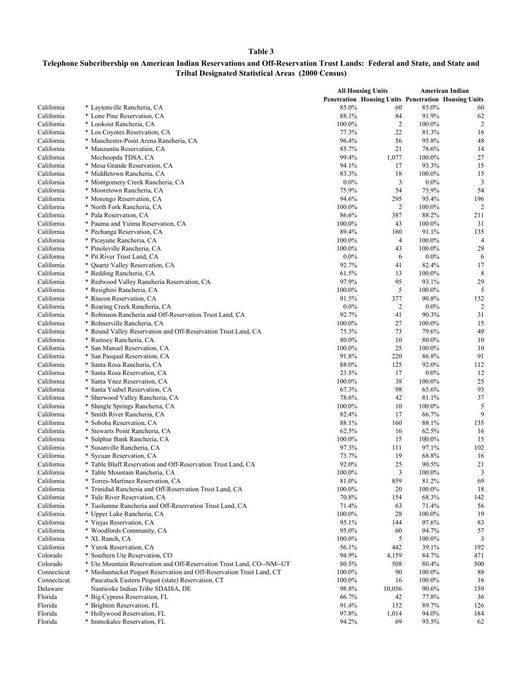|                          |                                                                                          |                 | <b>All Housing Units</b>                            |                    | <b>American Indian</b>  |
|--------------------------|------------------------------------------------------------------------------------------|-----------------|-----------------------------------------------------|--------------------|-------------------------|
|                          |                                                                                          |                 | Penetration Housing Units Penetration Housing Units |                    |                         |
| California               | * Laytonville Rancheria, CA                                                              | 85.0%           | 60                                                  | 85.0%              | 60                      |
| California               | * Lone Pine Reservation, CA                                                              | 88.1%           | 84                                                  | 91.9%              | 62                      |
| California               | * Lookout Rancheria, CA                                                                  | 100.0%          | $\overline{2}$                                      | 100.0%             | $\overline{c}$          |
| California               | * Los Coyotes Reservation, CA                                                            | 77.3%           | 22                                                  | 81.3%              | 16                      |
| California               | * Manchester-Point Arena Rancheria, CA                                                   | 96.4%           | 56                                                  | 95.8%              | 48                      |
| California               | * Manzanita Reservation, CA                                                              | 85.7%           | 21                                                  | 78.6%              | 14                      |
| California               | Mechoopda TDSA, CA                                                                       | 99.4%           | 1,077                                               | 100.0%             | 27                      |
| California               | * Mesa Grande Reservation, CA                                                            | 94.1%           | 17                                                  | 93.3%              | 15                      |
| California               | * Middletown Rancheria, CA                                                               | 83.3%           | 18                                                  | 100.0%             | 15                      |
| California               | * Montgomery Creek Rancheria, CA                                                         | $0.0\%$         | 3                                                   | $0.0\%$            | 3                       |
| California               | * Mooretown Rancheria, CA                                                                | 75.9%           | 54                                                  | 75.9%              | 54                      |
| California               | * Morongo Reservation, CA                                                                | 94.6%           | 295                                                 | 95.4%              | 196                     |
| California               | * North Fork Rancheria, CA                                                               | 100.0%          | 2                                                   | 100.0%             | $\overline{2}$          |
| California               | * Pala Reservation, CA                                                                   | 86.6%           | 387                                                 | 88.2%              | 211                     |
| California<br>California | * Pauma and Yuima Reservation, CA                                                        | 100.0%<br>89.4% | 43<br>160                                           | $100.0\%$<br>91.1% | 31<br>135               |
| California               | * Pechanga Reservation, CA<br>* Picayune Rancheria, CA                                   | 100.0%          | $\overline{4}$                                      | 100.0%             | $\overline{4}$          |
| California               | * Pinoleville Rancheria, CA                                                              | 100.0%          | 43                                                  | 100.0%             | 29                      |
| California               | * Pit River Trust Land, CA                                                               | $0.0\%$         | 6                                                   | $0.0\%$            | 6                       |
| California               | * Quartz Valley Reservation, CA                                                          | 92.7%           | 41                                                  | 82.4%              | 17                      |
| California               | * Redding Rancheria, CA                                                                  | 61.5%           | 13                                                  | 100.0%             | 8                       |
| California               | * Redwood Valley Rancheria Reservation, CA                                               | 97.9%           | 95                                                  | 93.1%              | 29                      |
| California               | * Resighini Rancheria, CA                                                                | 100.0%          | 5                                                   | 100.0%             | 5                       |
| California               | * Rincon Reservation, CA                                                                 | 91.5%           | 377                                                 | 90.8%              | 152                     |
| California               | * Roaring Creek Rancheria, CA                                                            | $0.0\%$         | $\overline{c}$                                      | $0.0\%$            | $\overline{\mathbf{c}}$ |
| California               | * Robinson Rancheria and Off-Reservation Trust Land, CA                                  | 92.7%           | 41                                                  | 90.3%              | 31                      |
| California               | * Rohnerville Rancheria, CA                                                              | 100.0%          | 27                                                  | 100.0%             | 15                      |
| California               | * Round Valley Reservation and Off-Reservation Trust Land, CA                            | 75.3%           | 73                                                  | 79.6%              | 49                      |
| California               | * Rumsey Rancheria, CA                                                                   | 80.0%           | 10                                                  | 80.0%              | 10                      |
| California               | * San Manuel Reservation, CA                                                             | 100.0%          | 25                                                  | 100.0%             | 10                      |
| California               | * San Pasqual Reservation, CA                                                            | 91.8%           | 220                                                 | 86.8%              | 91                      |
| California               | * Santa Rosa Rancheria, CA                                                               | 88.0%           | 125                                                 | 92.0%              | 112                     |
| California               | * Santa Rosa Reservation, CA                                                             | 23.5%           | 17                                                  | $0.0\%$            | 12                      |
| California               | * Santa Ynez Reservation, CA                                                             | 100.0%          | 38                                                  | $100.0\%$          | 25                      |
| California               | * Santa Ysabel Reservation, CA                                                           | 67.3%           | 98                                                  | 65.6%              | 93                      |
| California               | * Sherwood Valley Rancheria, CA                                                          | 78.6%           | 42                                                  | 81.1%              | 37                      |
| California               | * Shingle Springs Rancheria, CA                                                          | 100.0%          | 10                                                  | 100.0%             | 5                       |
| California               | * Smith River Rancheria, CA                                                              | 82.4%           | 17                                                  | 66.7%              | 9                       |
| California               | * Soboba Reservation, CA                                                                 | 88.1%           | 160                                                 | 88.1%              | 135                     |
| California               | * Stewarts Point Rancheria, CA                                                           | 62.5%           | 16                                                  | 62.5%              | 16                      |
| California               | * Sulphur Bank Rancheria, CA                                                             | 100.0%          | 15                                                  | 100.0%             | 15                      |
| California               | * Susanville Rancheria, CA                                                               | 97.3%           | 111                                                 | 97.1%              | 102                     |
| California               | * Sycuan Reservation, CA<br>* Table Bluff Reservation and Off-Reservation Trust Land, CA | 73.7%<br>92.0%  | 19<br>25                                            | 68.8%<br>90.5%     | 16<br>21                |
| California<br>California | * Table Mountain Rancheria, CA                                                           | 100.0%          | 3                                                   | 100.0%             | 3                       |
| California               | * Torres-Martinez Reservation, CA                                                        | 81.0%           | 859                                                 | 81.2%              | 69                      |
| California               | * Trinidad Rancheria and Off-Reservation Trust Land, CA                                  | 100.0%          | 20                                                  | 100.0%             | 18                      |
| California               | * Tule River Reservation, CA                                                             | 70.8%           | 154                                                 | 68.3%              | 142                     |
| California               | * Tuolumne Rancheria and Off-Reservation Trust Land, CA                                  | 71.4%           | 63                                                  | 71.4%              | 56                      |
| California               | * Upper Lake Rancheria, CA                                                               | 100.0%          | 28                                                  | 100.0%             | 19                      |
| California               | * Viejas Reservation, CA                                                                 | 95.1%           | 144                                                 | 97.6%              | 83                      |
| California               | * Woodfords Community, CA                                                                | 95.0%           | 60                                                  | 94.7%              | 57                      |
| California               | * XL Ranch, CA                                                                           | 100.0%          | 5                                                   | 100.0%             | 3                       |
| California               | * Yurok Reservation, CA                                                                  | 56.1%           | 442                                                 | 39.1%              | 192                     |
| Colorado                 | * Southern Ute Reservation, CO                                                           | 94.9%           | 4,159                                               | 84.7%              | 471                     |
| Colorado                 | * Ute Mountain Reservation and Off-Reservation Trust Land, CO--NM--UT                    | 80.5%           | 508                                                 | 80.4%              | 500                     |
| Connecticut              | * Mashantucket Pequot Reservation and Off-Reservation Trust Land, CT                     | 100.0%          | 90                                                  | 100.0%             | 88                      |
| Connecticut              | Paucatuck Eastern Pequot (state) Reservation, CT                                         | 100.0%          | 16                                                  | 100.0%             | 16                      |
| Delaware                 | Nanticoke Indian Tribe SDAISA, DE                                                        | 98.8%           | 10,056                                              | 90.6%              | 159                     |
| Florida                  | * Big Cypress Reservation, FL                                                            | 66.7%           | 42                                                  | 77.8%              | 36                      |
| Florida                  | * Brighton Reservation, FL                                                               | 91.4%           | 152                                                 | 89.7%              | 126                     |
| Florida                  | * Hollywood Reservation, FL                                                              | 97.8%           | 1,014                                               | 94.0%              | 184                     |
| Florida                  | * Immokalee Reservation, FL                                                              | 94.2%           | 69                                                  | 93.5%              | 62                      |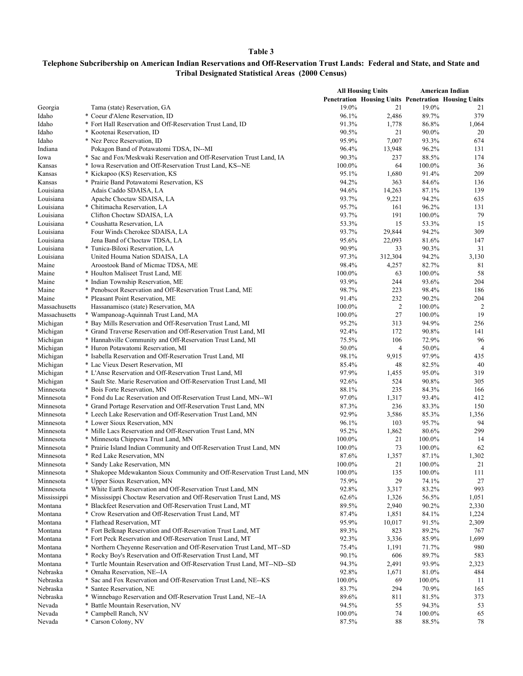|                  |                                                                           | <b>All Housing Units</b> |                                                     |                 | American Indian |  |
|------------------|---------------------------------------------------------------------------|--------------------------|-----------------------------------------------------|-----------------|-----------------|--|
|                  |                                                                           |                          | Penetration Housing Units Penetration Housing Units |                 |                 |  |
| Georgia          | Tama (state) Reservation, GA                                              | 19.0%                    | 21                                                  | 19.0%           | 21              |  |
| Idaho            | * Coeur d'Alene Reservation, ID                                           | 96.1%                    | 2,486                                               | 89.7%           | 379             |  |
| Idaho            | * Fort Hall Reservation and Off-Reservation Trust Land, ID                | 91.3%                    | 1,778                                               | 86.8%           | 1,064           |  |
| Idaho            | * Kootenai Reservation, ID                                                | 90.5%                    | 21                                                  | 90.0%           | 20              |  |
| Idaho            | * Nez Perce Reservation, ID                                               | 95.9%                    | 7,007                                               | 93.3%           | 674             |  |
| Indiana          | Pokagon Band of Potawatomi TDSA, IN--MI                                   | 96.4%                    | 13,948                                              | 96.2%           | 131             |  |
| Iowa             | * Sac and Fox/Meskwaki Reservation and Off-Reservation Trust Land, IA     | 90.3%                    | 237                                                 | 88.5%           | 174             |  |
| Kansas           | * Iowa Reservation and Off-Reservation Trust Land, KS--NE                 | 100.0%                   | 64                                                  | 100.0%          | 36              |  |
| Kansas           | * Kickapoo (KS) Reservation, KS                                           | 95.1%                    | 1,680                                               | 91.4%           | 209             |  |
| Kansas           | * Prairie Band Potawatomi Reservation, KS                                 | 94.2%                    | 363                                                 | 84.6%           | 136             |  |
| Louisiana        | Adais Caddo SDAISA, LA                                                    | 94.6%                    | 14,263                                              | 87.1%           | 139             |  |
| Louisiana        | Apache Choctaw SDAISA, LA                                                 | 93.7%                    | 9,221                                               | 94.2%           | 635             |  |
| Louisiana        | * Chitimacha Reservation, LA                                              | 95.7%                    | 161                                                 | 96.2%           | 131             |  |
| Louisiana        | Clifton Choctaw SDAISA, LA                                                | 93.7%                    | 191                                                 | 100.0%          | 79              |  |
| Louisiana        | * Coushatta Reservation, LA                                               | 53.3%                    | 15                                                  | 53.3%           | 15              |  |
| Louisiana        | Four Winds Cherokee SDAISA, LA                                            | 93.7%                    | 29,844                                              | 94.2%           | 309             |  |
| Louisiana        | Jena Band of Choctaw TDSA, LA                                             | 95.6%                    | 22,093                                              | 81.6%           | 147             |  |
| Louisiana        | * Tunica-Biloxi Reservation, LA                                           | 90.9%                    | 33                                                  | 90.3%           | 31              |  |
| Louisiana        | United Houma Nation SDAISA, LA                                            | 97.3%                    | 312,304                                             | 94.2%           | 3,130           |  |
| Maine            | Aroostook Band of Micmac TDSA, ME                                         | 98.4%<br>100.0%          | 4,257                                               | 82.7%           | 81<br>58        |  |
| Maine<br>Maine   | * Houlton Maliseet Trust Land, ME<br>* Indian Township Reservation, ME    | 93.9%                    | 63<br>244                                           | 100.0%<br>93.6% | 204             |  |
| Maine            | * Penobscot Reservation and Off-Reservation Trust Land, ME                | 98.7%                    | 223                                                 | 98.4%           | 186             |  |
| Maine            | * Pleasant Point Reservation, ME                                          | 91.4%                    | 232                                                 | 90.2%           | 204             |  |
| Massachusetts    | Hassanamisco (state) Reservation, MA                                      | 100.0%                   | $\overline{c}$                                      | 100.0%          | 2               |  |
| Massachusetts    | * Wampanoag-Aquinnah Trust Land, MA                                       | 100.0%                   | 27                                                  | 100.0%          | 19              |  |
| Michigan         | * Bay Mills Reservation and Off-Reservation Trust Land, MI                | 95.2%                    | 313                                                 | 94.9%           | 256             |  |
| Michigan         | * Grand Traverse Reservation and Off-Reservation Trust Land, MI           | 92.4%                    | 172                                                 | 90.8%           | 141             |  |
| Michigan         | * Hannahville Community and Off-Reservation Trust Land, MI                | 75.5%                    | 106                                                 | 72.9%           | 96              |  |
| Michigan         | * Huron Potawatomi Reservation, MI                                        | 50.0%                    | $\overline{4}$                                      | 50.0%           | $\overline{4}$  |  |
| Michigan         | * Isabella Reservation and Off-Reservation Trust Land, MI                 | 98.1%                    | 9,915                                               | 97.9%           | 435             |  |
| Michigan         | * Lac Vieux Desert Reservation, MI                                        | 85.4%                    | 48                                                  | 82.5%           | 40              |  |
| Michigan         | * L'Anse Reservation and Off-Reservation Trust Land, MI                   | 97.9%                    | 1,455                                               | 95.0%           | 319             |  |
| Michigan         | * Sault Ste. Marie Reservation and Off-Reservation Trust Land, MI         | 92.6%                    | 524                                                 | 90.8%           | 305             |  |
| Minnesota        | * Bois Forte Reservation, MN                                              | 88.1%                    | 235                                                 | 84.3%           | 166             |  |
| Minnesota        | * Fond du Lac Reservation and Off-Reservation Trust Land, MN--WI          | 97.0%                    | 1,317                                               | 93.4%           | 412             |  |
| Minnesota        | * Grand Portage Reservation and Off-Reservation Trust Land, MN            | 87.3%                    | 236                                                 | 83.3%           | 150             |  |
| Minnesota        | * Leech Lake Reservation and Off-Reservation Trust Land, MN               | 92.9%                    | 3,586                                               | 85.3%           | 1,356           |  |
| Minnesota        | * Lower Sioux Reservation, MN                                             | 96.1%                    | 103                                                 | 95.7%           | 94              |  |
| Minnesota        | * Mille Lacs Reservation and Off-Reservation Trust Land, MN               | 95.2%                    | 1,862                                               | 80.6%           | 299             |  |
| Minnesota        | * Minnesota Chippewa Trust Land, MN                                       | 100.0%                   | 21                                                  | 100.0%          | 14              |  |
| Minnesota        | * Prairie Island Indian Community and Off-Reservation Trust Land, MN      | 100.0%                   | 73                                                  | 100.0%          | 62              |  |
| Minnesota        | * Red Lake Reservation, MN                                                | 87.6%                    | 1,357                                               | 87.1%           | 1,302           |  |
| Minnesota        | * Sandy Lake Reservation, MN                                              | 100.0%                   | 21                                                  | 100.0%          | 21              |  |
| Minnesota        | * Shakopee Mdewakanton Sioux Community and Off-Reservation Trust Land, MN | 100.0%                   | 135                                                 | 100.0%          | 111             |  |
| Minnesota        | * Upper Sioux Reservation, MN                                             | 75.9%                    | 29                                                  | 74.1%           | 27              |  |
| Minnesota        | * White Earth Reservation and Off-Reservation Trust Land, MN              | 92.8%                    | 3,317                                               | 83.2%           | 993             |  |
| Mississippi      | * Mississippi Choctaw Reservation and Off-Reservation Trust Land, MS      | 62.6%                    | 1,326                                               | 56.5%           | 1,051           |  |
| Montana          | * Blackfeet Reservation and Off-Reservation Trust Land, MT                | 89.5%                    | 2,940                                               | 90.2%           | 2,330           |  |
| Montana          | * Crow Reservation and Off-Reservation Trust Land, MT                     | 87.4%                    | 1,851                                               | 84.1%           | 1,224           |  |
| Montana          | * Flathead Reservation, MT                                                | 95.9%                    | 10,017                                              | 91.5%           | 2,309           |  |
| Montana          | * Fort Belknap Reservation and Off-Reservation Trust Land, MT             | 89.3%                    | 823                                                 | 89.2%           | 767             |  |
| Montana          | * Fort Peck Reservation and Off-Reservation Trust Land, MT                | 92.3%                    | 3,336                                               | 85.9%           | 1,699           |  |
| Montana          | * Northern Cheyenne Reservation and Off-Reservation Trust Land, MT--SD    | 75.4%                    | 1,191                                               | 71.7%           | 980             |  |
| Montana          | * Rocky Boy's Reservation and Off-Reservation Trust Land, MT              | 90.1%                    | 606                                                 | 89.7%           | 583             |  |
| Montana          | * Turtle Mountain Reservation and Off-Reservation Trust Land, MT--ND--SD  | 94.3%                    | 2,491                                               | 93.9%           | 2,323           |  |
| Nebraska         | * Omaha Reservation, NE--IA                                               | 92.8%                    | 1,671                                               | 81.0%           | 484             |  |
| Nebraska         | * Sac and Fox Reservation and Off-Reservation Trust Land, NE--KS          | 100.0%                   | 69                                                  | 100.0%          | 11              |  |
| Nebraska         | * Santee Reservation, NE                                                  | 83.7%                    | 294                                                 | 70.9%           | 165             |  |
| Nebraska         | * Winnebago Reservation and Off-Reservation Trust Land, NE--IA            | 89.6%                    | 811                                                 | 81.5%           | 373             |  |
| Nevada<br>Nevada | * Battle Mountain Reservation, NV<br>* Campbell Ranch, NV                 | 94.5%                    | 55                                                  | 94.3%           | 53              |  |
| Nevada           | * Carson Colony, NV                                                       | 100.0%<br>87.5%          | 74<br>88                                            | 100.0%<br>88.5% | 65<br>78        |  |
|                  |                                                                           |                          |                                                     |                 |                 |  |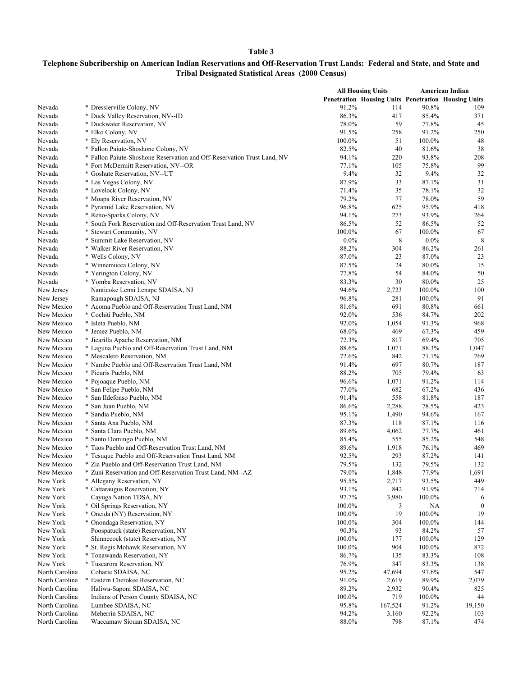|                            |                                                                         | <b>All Housing Units</b> |                                                     |                 | <b>American Indian</b> |  |
|----------------------------|-------------------------------------------------------------------------|--------------------------|-----------------------------------------------------|-----------------|------------------------|--|
|                            |                                                                         |                          | Penetration Housing Units Penetration Housing Units |                 |                        |  |
| Nevada                     | * Dresslerville Colony, NV                                              | 91.2%                    | 114                                                 | 90.8%           | 109                    |  |
| Nevada                     | * Duck Valley Reservation, NV--ID                                       | 86.3%                    | 417                                                 | 85.4%           | 371                    |  |
| Nevada                     | * Duckwater Reservation, NV                                             | 78.0%                    | 59                                                  | 77.8%           | 45                     |  |
| Nevada                     | * Elko Colony, NV                                                       | 91.5%                    | 258                                                 | 91.2%           | 250                    |  |
| Nevada                     | * Ely Reservation, NV                                                   | 100.0%                   | 51                                                  | 100.0%          | 48                     |  |
| Nevada                     | * Fallon Paiute-Shoshone Colony, NV                                     | 82.5%                    | 40                                                  | 81.6%           | 38                     |  |
| Nevada                     | * Fallon Paiute-Shoshone Reservation and Off-Reservation Trust Land, NV | 94.1%                    | 220                                                 | 93.8%           | 208                    |  |
| Nevada                     | * Fort McDermitt Reservation, NV--OR                                    | 77.1%                    | 105                                                 | 75.8%           | 99                     |  |
| Nevada                     | * Goshute Reservation, NV--UT                                           | 9.4%                     | 32                                                  | 9.4%            | 32                     |  |
| Nevada                     | * Las Vegas Colony, NV                                                  | 87.9%                    | 33                                                  | 87.1%           | 31                     |  |
| Nevada                     | * Lovelock Colony, NV                                                   | 71.4%                    | 35                                                  | 78.1%           | 32                     |  |
| Nevada                     | * Moapa River Reservation, NV                                           | 79.2%                    | 77                                                  | 78.0%           | 59                     |  |
| Nevada                     | * Pyramid Lake Reservation, NV                                          | 96.8%                    | 625                                                 | 95.9%           | 418                    |  |
| Nevada                     | * Reno-Sparks Colony, NV                                                | 94.1%                    | 273                                                 | 93.9%           | 264                    |  |
| Nevada                     | * South Fork Reservation and Off-Reservation Trust Land, NV             | 86.5%                    | 52                                                  | 86.5%           | 52                     |  |
| Nevada                     | * Stewart Community, NV                                                 | 100.0%                   | 67                                                  | 100.0%          | 67                     |  |
| Nevada                     | * Summit Lake Reservation, NV                                           | $0.0\%$                  | 8                                                   | $0.0\%$         | 8                      |  |
| Nevada                     | * Walker River Reservation, NV                                          | 88.2%                    | 304                                                 | 86.2%           | 261                    |  |
| Nevada                     | * Wells Colony, NV                                                      | 87.0%                    | 23                                                  | 87.0%           | 23                     |  |
| Nevada                     | * Winnemucca Colony, NV                                                 | 87.5%                    | 24                                                  | 80.0%           | 15                     |  |
| Nevada                     | * Yerington Colony, NV                                                  | 77.8%                    | 54                                                  | 84.0%           | 50                     |  |
| Nevada                     | * Yomba Reservation, NV                                                 | 83.3%                    | 30                                                  | 80.0%           | 25                     |  |
| New Jersey                 | Nanticoke Lenni Lenape SDAISA, NJ                                       | 94.6%                    | 2,723                                               | 100.0%          | 100                    |  |
| New Jersey                 | Ramapough SDAISA, NJ                                                    | 96.8%                    | 281                                                 | 100.0%          | 91                     |  |
| New Mexico                 | * Acoma Pueblo and Off-Reservation Trust Land, NM                       | 81.6%                    | 691                                                 | 80.8%           | 661                    |  |
| New Mexico                 | * Cochiti Pueblo, NM                                                    | 92.0%                    | 536                                                 | 84.7%           | 202                    |  |
| New Mexico                 | * Isleta Pueblo, NM                                                     | 92.0%                    | 1,054                                               | 91.3%           | 968                    |  |
| New Mexico                 | * Jemez Pueblo, NM                                                      | 68.0%                    | 469                                                 | 67.3%           | 459                    |  |
| New Mexico                 | * Jicarilla Apache Reservation, NM                                      | 72.3%                    | 817                                                 | 69.4%           | 705                    |  |
| New Mexico                 | * Laguna Pueblo and Off-Reservation Trust Land, NM                      | 88.6%                    | 1,071                                               | 88.3%           | 1,047                  |  |
| New Mexico                 | * Mescalero Reservation, NM                                             | 72.6%                    | 842                                                 | 71.1%           | 769                    |  |
| New Mexico                 | * Nambe Pueblo and Off-Reservation Trust Land, NM                       | 91.4%                    | 697                                                 | 80.7%           | 187                    |  |
| New Mexico                 | * Picuris Pueblo, NM                                                    | 88.2%                    | 705                                                 | 79.4%           | 63                     |  |
| New Mexico                 | * Pojoaque Pueblo, NM                                                   | 96.6%                    | 1,071                                               | 91.2%           | 114                    |  |
| New Mexico                 | * San Felipe Pueblo, NM                                                 | 77.0%                    | 682                                                 | 67.2%           | 436                    |  |
| New Mexico                 | * San Ildefonso Pueblo, NM                                              | 91.4%                    | 558                                                 | 81.8%           | 187                    |  |
| New Mexico                 | * San Juan Pueblo, NM                                                   | 86.6%                    | 2,288                                               | 78.5%           | 423                    |  |
| New Mexico                 | * Sandia Pueblo, NM                                                     | 95.1%                    | 1,490                                               | 94.6%           | 167                    |  |
| New Mexico                 | * Santa Ana Pueblo, NM                                                  | 87.3%                    | 118                                                 | 87.1%           | 116                    |  |
| New Mexico                 | * Santa Clara Pueblo, NM                                                | 89.6%                    | 4,062                                               | 77.7%           | 461                    |  |
| New Mexico                 | * Santo Domingo Pueblo, NM                                              | 85.4%                    | 555                                                 | 85.2%           | 548                    |  |
| New Mexico                 | * Taos Pueblo and Off-Reservation Trust Land, NM                        | 89.6%                    | 1,918                                               | 76.1%           | 469                    |  |
| New Mexico                 | * Tesuque Pueblo and Off-Reservation Trust Land, NM                     | 92.5%                    | 293                                                 | 87.2%           | 141                    |  |
| New Mexico                 | * Zia Pueblo and Off-Reservation Trust Land, NM                         | 79.5%                    | 132                                                 | 79.5%           | 132                    |  |
| New Mexico                 | * Zuni Reservation and Off-Reservation Trust Land, NM--AZ               | 79.0%                    | 1,848                                               | 77.9%           | 1,691                  |  |
| New York                   | * Allegany Reservation, NY                                              | 95.5%                    | 2,717                                               | 93.5%           | 449                    |  |
| New York                   | * Cattaraugus Reservation, NY                                           | 93.1%                    | 842                                                 | 91.9%           | 714                    |  |
| New York                   | Cayuga Nation TDSA, NY                                                  | 97.7%                    | 3,980                                               | 100.0%          | 6                      |  |
| New York                   | * Oil Springs Reservation, NY                                           | 100.0%                   | 3                                                   | NА              | $\boldsymbol{0}$<br>19 |  |
| New York                   | * Oneida (NY) Reservation, NY                                           | 100.0%                   | 19                                                  | 100.0%          |                        |  |
| New York                   | * Onondaga Reservation, NY                                              | 100.0%                   | 304                                                 | 100.0%          | 144                    |  |
| New York                   | Poospatuck (state) Reservation, NY                                      | 90.3%                    | 93                                                  | 84.2%           | 57                     |  |
| New York                   | Shinnecock (state) Reservation, NY                                      | 100.0%                   | 177                                                 | 100.0%          | 129                    |  |
| New York<br>New York       | * St. Regis Mohawk Reservation, NY<br>* Tonawanda Reservation, NY       | 100.0%<br>86.7%          | 904                                                 | 100.0%<br>83.3% | 872<br>108             |  |
|                            |                                                                         |                          | 135                                                 | 83.3%           |                        |  |
| New York<br>North Carolina | * Tuscarora Reservation, NY<br>Coharie SDAISA, NC                       | 76.9%<br>95.2%           | 347<br>47,694                                       | 97.6%           | 138<br>547             |  |
| North Carolina             | * Eastern Cherokee Reservation, NC                                      | 91.0%                    | 2,619                                               | 89.9%           | 2,079                  |  |
| North Carolina             | Haliwa-Saponi SDAISA, NC                                                | 89.2%                    | 2,932                                               | 90.4%           | 825                    |  |
| North Carolina             | Indians of Person County SDAISA, NC                                     | 100.0%                   | 719                                                 | 100.0%          | 44                     |  |
| North Carolina             | Lumbee SDAISA, NC                                                       | 95.8%                    | 167,524                                             | 91.2%           | 19,150                 |  |
| North Carolina             | Meherrin SDAISA, NC                                                     | 94.2%                    | 3,160                                               | 92.2%           | 103                    |  |
| North Carolina             | Waccamaw Siouan SDAISA, NC                                              | 88.0%                    | 798                                                 | 87.1%           | 474                    |  |
|                            |                                                                         |                          |                                                     |                 |                        |  |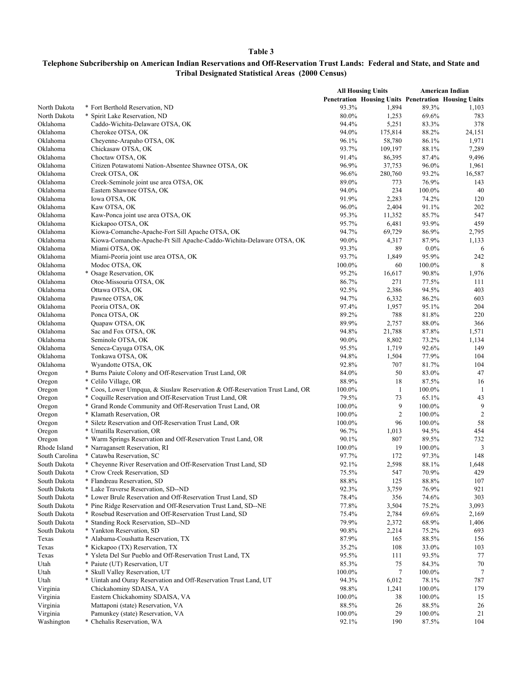|                      |                                                                                                                                           |                 | <b>All Housing Units</b>                                   |                 | American Indian |
|----------------------|-------------------------------------------------------------------------------------------------------------------------------------------|-----------------|------------------------------------------------------------|-----------------|-----------------|
|                      |                                                                                                                                           |                 | <b>Penetration Housing Units Penetration Housing Units</b> |                 |                 |
| North Dakota         | * Fort Berthold Reservation, ND                                                                                                           | 93.3%           | 1,894                                                      | 89.3%           | 1,103           |
| North Dakota         | * Spirit Lake Reservation, ND                                                                                                             | 80.0%           | 1,253                                                      | 69.6%           | 783             |
| Oklahoma             | Caddo-Wichita-Delaware OTSA, OK                                                                                                           | 94.4%           | 5,251                                                      | 83.3%           | 378             |
| Oklahoma             | Cherokee OTSA, OK                                                                                                                         | 94.0%           | 175,814                                                    | 88.2%           | 24,151          |
| Oklahoma             | Cheyenne-Arapaho OTSA, OK                                                                                                                 | 96.1%           | 58,780                                                     | 86.1%           | 1,971           |
| Oklahoma             | Chickasaw OTSA, OK                                                                                                                        | 93.7%           | 109,197                                                    | 88.1%           | 7,289           |
| Oklahoma             | Choctaw OTSA, OK                                                                                                                          | 91.4%           | 86,395                                                     | 87.4%           | 9,496           |
| Oklahoma             | Citizen Potawatomi Nation-Absentee Shawnee OTSA, OK                                                                                       | 96.9%           | 37,753                                                     | 96.0%           | 1,961           |
| Oklahoma             | Creek OTSA, OK                                                                                                                            | 96.6%           | 280,760                                                    | 93.2%           | 16,587          |
| Oklahoma             | Creek-Seminole joint use area OTSA, OK                                                                                                    | 89.0%           | 773                                                        | 76.9%           | 143             |
| Oklahoma             | Eastern Shawnee OTSA, OK                                                                                                                  | 94.0%           | 234                                                        | 100.0%          | 40              |
| Oklahoma<br>Oklahoma | Iowa OTSA, OK<br>Kaw OTSA, OK                                                                                                             | 91.9%<br>96.0%  | 2,283<br>2,404                                             | 74.2%<br>91.1%  | 120<br>202      |
| Oklahoma             | Kaw-Ponca joint use area OTSA, OK                                                                                                         | 95.3%           | 11,352                                                     | 85.7%           | 547             |
| Oklahoma             | Kickapoo OTSA, OK                                                                                                                         | 95.7%           | 6,481                                                      | 93.9%           | 459             |
| Oklahoma             | Kiowa-Comanche-Apache-Fort Sill Apache OTSA, OK                                                                                           | 94.7%           | 69,729                                                     | 86.9%           | 2,795           |
| Oklahoma             | Kiowa-Comanche-Apache-Ft Sill Apache-Caddo-Wichita-Delaware OTSA, OK                                                                      | 90.0%           | 4,317                                                      | 87.9%           | 1,133           |
| Oklahoma             | Miami OTSA, OK                                                                                                                            | 93.3%           | 89                                                         | $0.0\%$         | 6               |
| Oklahoma             | Miami-Peoria joint use area OTSA, OK                                                                                                      | 93.7%           | 1,849                                                      | 95.9%           | 242             |
| Oklahoma             | Modoc OTSA, OK                                                                                                                            | 100.0%          | 60                                                         | 100.0%          | 8               |
| Oklahoma             | * Osage Reservation, OK                                                                                                                   | 95.2%           | 16,617                                                     | 90.8%           | 1,976           |
| Oklahoma             | Otoe-Missouria OTSA, OK                                                                                                                   | 86.7%           | 271                                                        | 77.5%           | 111             |
| Oklahoma             | Ottawa OTSA, OK                                                                                                                           | 92.5%           | 2,386                                                      | 94.5%           | 403             |
| Oklahoma             | Pawnee OTSA, OK                                                                                                                           | 94.7%           | 6,332                                                      | 86.2%           | 603             |
| Oklahoma             | Peoria OTSA, OK                                                                                                                           | 97.4%           | 1,957                                                      | 95.1%           | 204             |
| Oklahoma             | Ponca OTSA, OK                                                                                                                            | 89.2%           | 788                                                        | 81.8%           | 220             |
| Oklahoma             | Quapaw OTSA, OK                                                                                                                           | 89.9%           | 2,757                                                      | 88.0%           | 366             |
| Oklahoma             | Sac and Fox OTSA, OK                                                                                                                      | 94.8%           | 21,788                                                     | 87.8%           | 1,571           |
| Oklahoma             | Seminole OTSA, OK                                                                                                                         | 90.0%           | 8,802                                                      | 73.2%           | 1,134           |
| Oklahoma             | Seneca-Cayuga OTSA, OK                                                                                                                    | 95.5%           | 1,719                                                      | 92.6%           | 149             |
| Oklahoma             | Tonkawa OTSA, OK                                                                                                                          | 94.8%           | 1,504                                                      | 77.9%           | 104             |
| Oklahoma             | Wyandotte OTSA, OK                                                                                                                        | 92.8%           | 707                                                        | 81.7%           | 104             |
| Oregon               | * Burns Paiute Colony and Off-Reservation Trust Land, OR                                                                                  | 84.0%           | 50                                                         | 83.0%           | 47              |
| Oregon               | * Celilo Village, OR                                                                                                                      | 88.9%           | 18                                                         | 87.5%           | 16              |
| Oregon               | * Coos, Lower Umpqua, & Siuslaw Reservation & Off-Reservation Trust Land, OR<br>* Coquille Reservation and Off-Reservation Trust Land, OR | 100.0%<br>79.5% | $\mathbf{1}$<br>73                                         | 100.0%<br>65.1% | 43              |
| Oregon<br>Oregon     | * Grand Ronde Community and Off-Reservation Trust Land, OR                                                                                | 100.0%          | 9                                                          | 100.0%          | 9               |
| Oregon               | * Klamath Reservation, OR                                                                                                                 | 100.0%          | $\overline{c}$                                             | 100.0%          | $\overline{2}$  |
| Oregon               | * Siletz Reservation and Off-Reservation Trust Land, OR                                                                                   | 100.0%          | 96                                                         | 100.0%          | 58              |
| Oregon               | * Umatilla Reservation, OR                                                                                                                | 96.7%           | 1,013                                                      | 94.5%           | 454             |
| Oregon               | * Warm Springs Reservation and Off-Reservation Trust Land, OR                                                                             | 90.1%           | 807                                                        | 89.5%           | 732             |
| Rhode Island         | * Narragansett Reservation, RI                                                                                                            | 100.0%          | 19                                                         | 100.0%          | 3               |
| South Carolina       | * Catawba Reservation, SC                                                                                                                 | 97.7%           | 172                                                        | 97.3%           | 148             |
| South Dakota         | * Cheyenne River Reservation and Off-Reservation Trust Land, SD                                                                           | 92.1%           | 2,598                                                      | 88.1%           | 1,648           |
| South Dakota         | * Crow Creek Reservation, SD                                                                                                              | 75.5%           | 547                                                        | 70.9%           | 429             |
| South Dakota         | * Flandreau Reservation, SD                                                                                                               | 88.8%           | 125                                                        | 88.8%           | 107             |
| South Dakota         | * Lake Traverse Reservation, SD--ND                                                                                                       | 92.3%           | 3,759                                                      | 76.9%           | 921             |
| South Dakota         | * Lower Brule Reservation and Off-Reservation Trust Land, SD                                                                              | 78.4%           | 356                                                        | 74.6%           | 303             |
| South Dakota         | * Pine Ridge Reservation and Off-Reservation Trust Land, SD--NE                                                                           | 77.8%           | 3,504                                                      | 75.2%           | 3,093           |
| South Dakota         | * Rosebud Reservation and Off-Reservation Trust Land, SD                                                                                  | 75.4%           | 2,784                                                      | 69.6%           | 2,169           |
| South Dakota         | * Standing Rock Reservation, SD--ND                                                                                                       | 79.9%           | 2,372                                                      | 68.9%           | 1,406           |
| South Dakota         | * Yankton Reservation, SD                                                                                                                 | 90.8%           | 2,214                                                      | 75.2%           | 693             |
| Texas                | * Alabama-Coushatta Reservation, TX                                                                                                       | 87.9%           | 165                                                        | 88.5%           | 156             |
| Texas                | * Kickapoo (TX) Reservation, TX                                                                                                           | 35.2%           | 108                                                        | 33.0%           | 103             |
| Texas                | * Ysleta Del Sur Pueblo and Off-Reservation Trust Land, TX                                                                                | 95.5%           | 111                                                        | 93.5%           | 77              |
| Utah                 | * Paiute (UT) Reservation, UT                                                                                                             | 85.3%           | 75                                                         | 84.3%           | 70              |
| Utah                 | * Skull Valley Reservation, UT                                                                                                            | 100.0%          | 7                                                          | 100.0%          | 7               |
| Utah                 | * Uintah and Ouray Reservation and Off-Reservation Trust Land, UT                                                                         | 94.3%<br>98.8%  | 6,012                                                      | 78.1%<br>100.0% | 787<br>179      |
| Virginia<br>Virginia | Chickahominy SDAISA, VA<br>Eastern Chickahominy SDAISA, VA                                                                                | 100.0%          | 1,241<br>38                                                | 100.0%          | 15              |
| Virginia             | Mattaponi (state) Reservation, VA                                                                                                         | 88.5%           | 26                                                         | 88.5%           | 26              |
| Virginia             | Pamunkey (state) Reservation, VA                                                                                                          | 100.0%          | 29                                                         | 100.0%          | 21              |
| Washington           | * Chehalis Reservation, WA                                                                                                                | 92.1%           | 190                                                        | 87.5%           | 104             |
|                      |                                                                                                                                           |                 |                                                            |                 |                 |